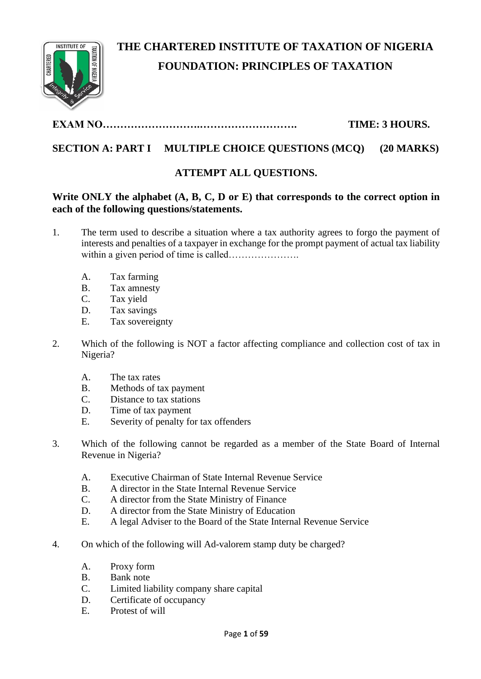

# **THE CHARTERED INSTITUTE OF TAXATION OF NIGERIA FOUNDATION: PRINCIPLES OF TAXATION**

# **EXAM NO……………………….………………………. TIME: 3 HOURS.**

# **SECTION A: PART I MULTIPLE CHOICE QUESTIONS (MCQ) (20 MARKS)**

# **ATTEMPT ALL QUESTIONS.**

# **Write ONLY the alphabet (A, B, C, D or E) that corresponds to the correct option in each of the following questions/statements.**

- 1. The term used to describe a situation where a tax authority agrees to forgo the payment of interests and penalties of a taxpayer in exchange for the prompt payment of actual tax liability within a given period of time is called………………….
	- A. Tax farming
	- B. Tax amnesty
	- C. Tax yield
	- D. Tax savings
	- E. Tax sovereignty
- 2. Which of the following is NOT a factor affecting compliance and collection cost of tax in Nigeria?
	- A. The tax rates
	- B. Methods of tax payment
	- C. Distance to tax stations
	- D. Time of tax payment
	- E. Severity of penalty for tax offenders
- 3. Which of the following cannot be regarded as a member of the State Board of Internal Revenue in Nigeria?
	- A. Executive Chairman of State Internal Revenue Service
	- B. A director in the State Internal Revenue Service
	- C. A director from the State Ministry of Finance
	- D. A director from the State Ministry of Education
	- E. A legal Adviser to the Board of the State Internal Revenue Service
- 4. On which of the following will Ad-valorem stamp duty be charged?
	- A. Proxy form
	- B. Bank note
	- C. Limited liability company share capital
	- D. Certificate of occupancy
	- E. Protest of will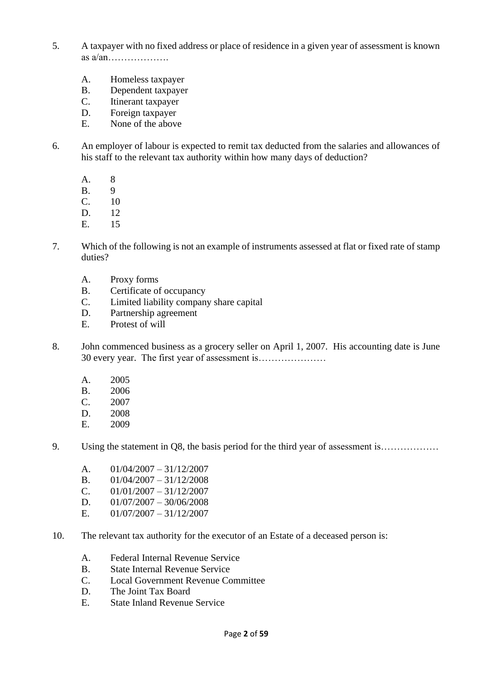- 5. A taxpayer with no fixed address or place of residence in a given year of assessment is known as a/an……………….
	- A. Homeless taxpayer
	- B. Dependent taxpayer
	- C. Itinerant taxpayer
	- D. Foreign taxpayer
	- E. None of the above
- 6. An employer of labour is expected to remit tax deducted from the salaries and allowances of his staff to the relevant tax authority within how many days of deduction?
	- A. 8
	- B. 9
	- C. 10
	- D. 12
	- E. 15
- 7. Which of the following is not an example of instruments assessed at flat or fixed rate of stamp duties?
	- A. Proxy forms
	- B. Certificate of occupancy
	- C. Limited liability company share capital
	- D. Partnership agreement
	- E. Protest of will
- 8. John commenced business as a grocery seller on April 1, 2007. His accounting date is June 30 every year. The first year of assessment is…………………
	- A. 2005
	- B. 2006
	- C. 2007
	- D. 2008
	- E. 2009
- 9. Using the statement in Q8, the basis period for the third year of assessment is………………
	- A.  $01/04/2007 31/12/2007$
	- B.  $01/04/2007 31/12/2008$
	- C.  $01/01/2007 31/12/2007$
	- D.  $01/07/2007 30/06/2008$
	- E.  $01/07/2007 31/12/2007$
- 10. The relevant tax authority for the executor of an Estate of a deceased person is:
	- A. Federal Internal Revenue Service
	- B. State Internal Revenue Service
	- C. Local Government Revenue Committee
	- D. The Joint Tax Board
	- E. State Inland Revenue Service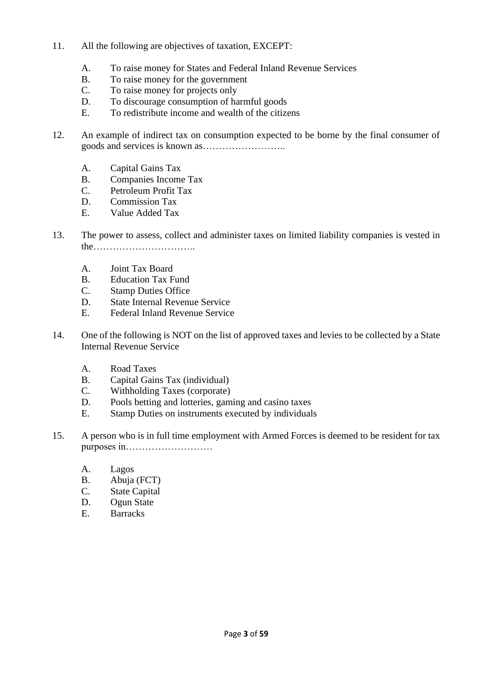- 11. All the following are objectives of taxation, EXCEPT:
	- A. To raise money for States and Federal Inland Revenue Services
	- B. To raise money for the government
	- C. To raise money for projects only
	- D. To discourage consumption of harmful goods
	- E. To redistribute income and wealth of the citizens
- 12. An example of indirect tax on consumption expected to be borne by the final consumer of goods and services is known as……………………..
	- A. Capital Gains Tax
	- B. Companies Income Tax
	- C. Petroleum Profit Tax
	- D. Commission Tax
	- E. Value Added Tax
- 13. The power to assess, collect and administer taxes on limited liability companies is vested in the…………………………..
	- A. Joint Tax Board
	- B. Education Tax Fund
	- C. Stamp Duties Office
	- D. State Internal Revenue Service
	- E. Federal Inland Revenue Service
- 14. One of the following is NOT on the list of approved taxes and levies to be collected by a State Internal Revenue Service
	- A. Road Taxes
	- B. Capital Gains Tax (individual)
	- C. Withholding Taxes (corporate)
	- D. Pools betting and lotteries, gaming and casino taxes
	- E. Stamp Duties on instruments executed by individuals
- 15. A person who is in full time employment with Armed Forces is deemed to be resident for tax purposes in………………………
	- A. Lagos
	- B. Abuja (FCT)
	- C. State Capital
	- D. Ogun State
	- E. Barracks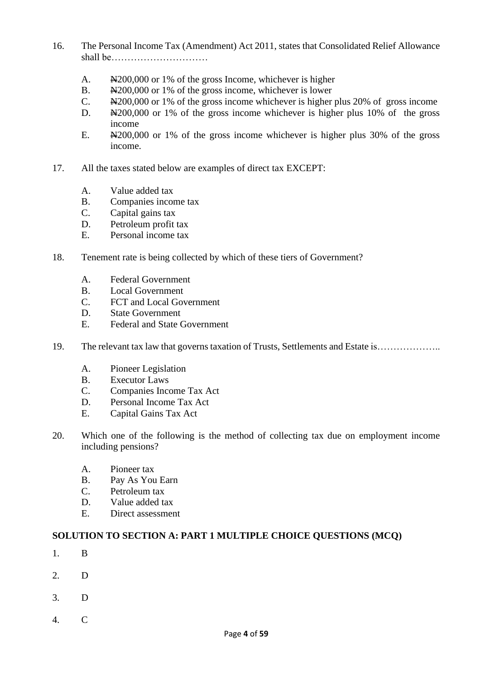- 16. The Personal Income Tax (Amendment) Act 2011, states that Consolidated Relief Allowance shall be…………………………
	- A.  $\frac{N200,000}{9}$  or 1% of the gross Income, whichever is higher
	- B.  $\div$   $\div$   $\div$   $200,000$  or 1% of the gross income, whichever is lower
	- C. N200,000 or 1% of the gross income whichever is higher plus 20% of gross income
	- D. Next<sub>200</sub>,000 or 1% of the gross income whichever is higher plus 10% of the gross income
	- E. N200,000 or 1% of the gross income whichever is higher plus 30% of the gross income.
- 17. All the taxes stated below are examples of direct tax EXCEPT:
	- A. Value added tax
	- B. Companies income tax
	- C. Capital gains tax
	- D. Petroleum profit tax
	- E. Personal income tax
- 18. Tenement rate is being collected by which of these tiers of Government?
	- A. Federal Government
	- B. Local Government
	- C. FCT and Local Government
	- D. State Government
	- E. Federal and State Government
- 19. The relevant tax law that governs taxation of Trusts, Settlements and Estate is………………..
	- A. Pioneer Legislation
	- B. Executor Laws
	- C. Companies Income Tax Act
	- D. Personal Income Tax Act
	- E. Capital Gains Tax Act
- 20. Which one of the following is the method of collecting tax due on employment income including pensions?
	- A. Pioneer tax
	- B. Pay As You Earn
	- C. Petroleum tax
	- D. Value added tax
	- E. Direct assessment

### **SOLUTION TO SECTION A: PART 1 MULTIPLE CHOICE QUESTIONS (MCQ)**

- 1. B
- 2. D
- 3. D
- 4. C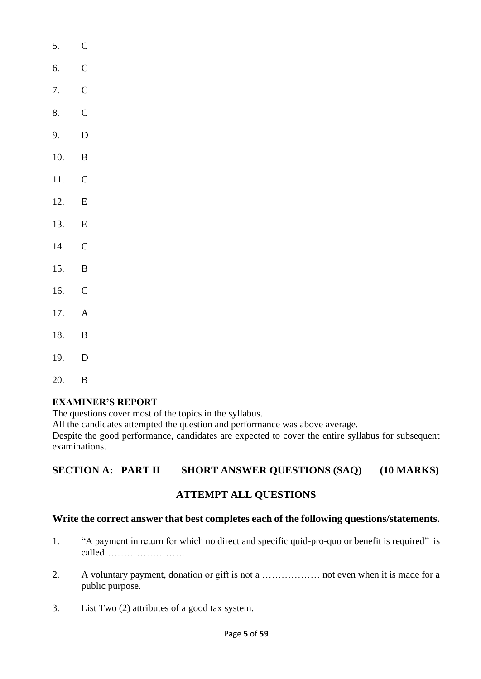| J.    |                |  |
|-------|----------------|--|
| 6.    | $\overline{C}$ |  |
| 7.    | $\mathbf C$    |  |
| 8.    | $\overline{C}$ |  |
| 9.    | D              |  |
| 10.   | $\overline{B}$ |  |
| 11.   | $\mathbf C$    |  |
| 12.   | E              |  |
| 13.   | $\,$ E         |  |
| 14.   | $\overline{C}$ |  |
| 15.   | $\mathbf B$    |  |
| 16.   | $\overline{C}$ |  |
| 17.   | $\overline{A}$ |  |
| 18.   | $\mathbf{B}$   |  |
| 19.   | $\overline{D}$ |  |
| 20. B |                |  |

 $5^{\circ}$   $\Gamma$ 

# **EXAMINER'S REPORT**

The questions cover most of the topics in the syllabus.

All the candidates attempted the question and performance was above average.

Despite the good performance, candidates are expected to cover the entire syllabus for subsequent examinations.

# **SECTION A: PART II SHORT ANSWER QUESTIONS (SAQ) (10 MARKS)**

# **ATTEMPT ALL QUESTIONS**

# **Write the correct answer that best completes each of the following questions/statements.**

- 1. "A payment in return for which no direct and specific quid-pro-quo or benefit is required" is called…………………….
- 2. A voluntary payment, donation or gift is not a ……………… not even when it is made for a public purpose.
- 3. List Two (2) attributes of a good tax system.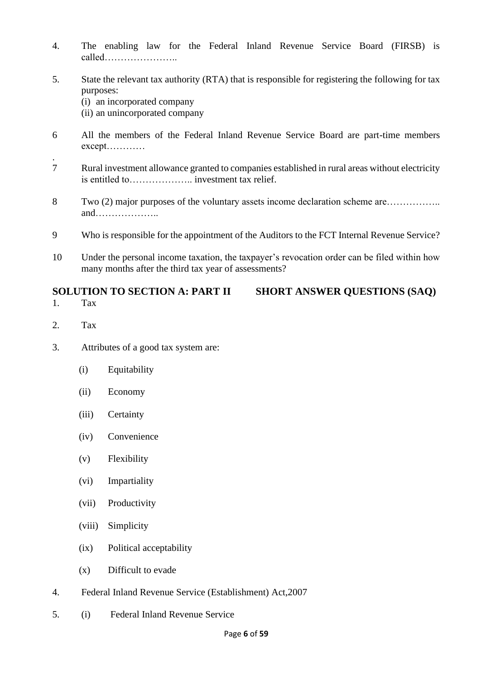- 4. The enabling law for the Federal Inland Revenue Service Board (FIRSB) is called…………………..
- 5. State the relevant tax authority (RTA) that is responsible for registering the following for tax purposes:
	- (i) an incorporated company
	- (ii) an unincorporated company
- 6 All the members of the Federal Inland Revenue Service Board are part-time members except…………
- 7 Rural investment allowance granted to companies established in rural areas without electricity is entitled to……………….. investment tax relief.
- 8 Two (2) major purposes of the voluntary assets income declaration scheme are…………….. and………………..
- 9 Who is responsible for the appointment of the Auditors to the FCT Internal Revenue Service?
- 10 Under the personal income taxation, the taxpayer's revocation order can be filed within how many months after the third tax year of assessments?

#### **SOLUTION TO SECTION A: PART II SHORT ANSWER QUESTIONS (SAQ)** 1. Tax

2. Tax

.

- 3. Attributes of a good tax system are:
	- (i) Equitability
	- (ii) Economy
	- (iii) Certainty
	- (iv) Convenience
	- (v) Flexibility
	- (vi) Impartiality
	- (vii) Productivity
	- (viii) Simplicity
	- (ix) Political acceptability
	- (x) Difficult to evade
- 4. Federal Inland Revenue Service (Establishment) Act,2007
- 5. (i) Federal Inland Revenue Service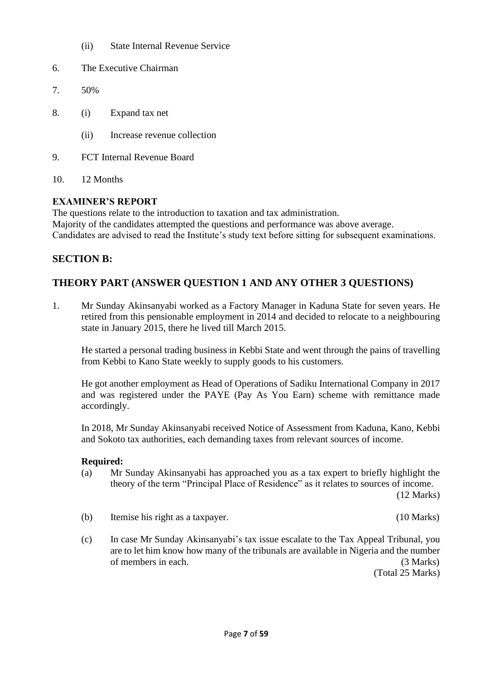- (ii) State Internal Revenue Service
- 6. The Executive Chairman
- 7. 50%
- 8. (i) Expand tax net
	- (ii) Increase revenue collection
- 9. FCT Internal Revenue Board
- 10. 12 Months

## **EXAMINER'S REPORT**

The questions relate to the introduction to taxation and tax administration.

Majority of the candidates attempted the questions and performance was above average. Candidates are advised to read the Institute's study text before sitting for subsequent examinations.

# **SECTION B:**

# **THEORY PART (ANSWER QUESTION 1 AND ANY OTHER 3 QUESTIONS)**

1. Mr Sunday Akinsanyabi worked as a Factory Manager in Kaduna State for seven years. He retired from this pensionable employment in 2014 and decided to relocate to a neighbouring state in January 2015, there he lived till March 2015.

He started a personal trading business in Kebbi State and went through the pains of travelling from Kebbi to Kano State weekly to supply goods to his customers.

He got another employment as Head of Operations of Sadiku International Company in 2017 and was registered under the PAYE (Pay As You Earn) scheme with remittance made accordingly.

In 2018, Mr Sunday Akinsanyabi received Notice of Assessment from Kaduna, Kano, Kebbi and Sokoto tax authorities, each demanding taxes from relevant sources of income.

### **Required:**

(a) Mr Sunday Akinsanyabi has approached you as a tax expert to briefly highlight the theory of the term "Principal Place of Residence" as it relates to sources of income.

(12 Marks)

- (b) Itemise his right as a taxpayer. (10 Marks)
- (c) In case Mr Sunday Akinsanyabi's tax issue escalate to the Tax Appeal Tribunal, you are to let him know how many of the tribunals are available in Nigeria and the number of members in each. (3 Marks)

(Total 25 Marks)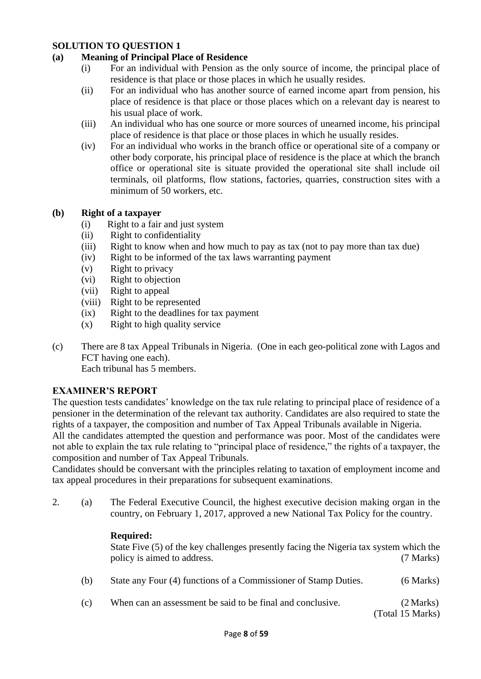### **(a) Meaning of Principal Place of Residence**

- (i) For an individual with Pension as the only source of income, the principal place of residence is that place or those places in which he usually resides.
- (ii) For an individual who has another source of earned income apart from pension, his place of residence is that place or those places which on a relevant day is nearest to his usual place of work.
- (iii) An individual who has one source or more sources of unearned income, his principal place of residence is that place or those places in which he usually resides.
- (iv) For an individual who works in the branch office or operational site of a company or other body corporate, his principal place of residence is the place at which the branch office or operational site is situate provided the operational site shall include oil terminals, oil platforms, flow stations, factories, quarries, construction sites with a minimum of 50 workers, etc.

### **(b) Right of a taxpayer**

- (i) Right to a fair and just system
- (ii) Right to confidentiality
- (iii) Right to know when and how much to pay as tax (not to pay more than tax due)
- (iv) Right to be informed of the tax laws warranting payment
- (v) Right to privacy
- (vi) Right to objection
- (vii) Right to appeal
- (viii) Right to be represented
- (ix) Right to the deadlines for tax payment
- (x) Right to high quality service
- (c) There are 8 tax Appeal Tribunals in Nigeria. (One in each geo-political zone with Lagos and FCT having one each). Each tribunal has 5 members.

# **EXAMINER'S REPORT**

The question tests candidates' knowledge on the tax rule relating to principal place of residence of a pensioner in the determination of the relevant tax authority. Candidates are also required to state the rights of a taxpayer, the composition and number of Tax Appeal Tribunals available in Nigeria.

All the candidates attempted the question and performance was poor. Most of the candidates were not able to explain the tax rule relating to "principal place of residence," the rights of a taxpayer, the composition and number of Tax Appeal Tribunals.

Candidates should be conversant with the principles relating to taxation of employment income and tax appeal procedures in their preparations for subsequent examinations.

2. (a) The Federal Executive Council, the highest executive decision making organ in the country, on February 1, 2017, approved a new National Tax Policy for the country.

### **Required:**

State Five (5) of the key challenges presently facing the Nigeria tax system which the policy is aimed to address. (7 Marks)

- (b) State any Four (4) functions of a Commissioner of Stamp Duties. (6 Marks)
- (c) When can an assessment be said to be final and conclusive. (2 Marks)

(Total 15 Marks)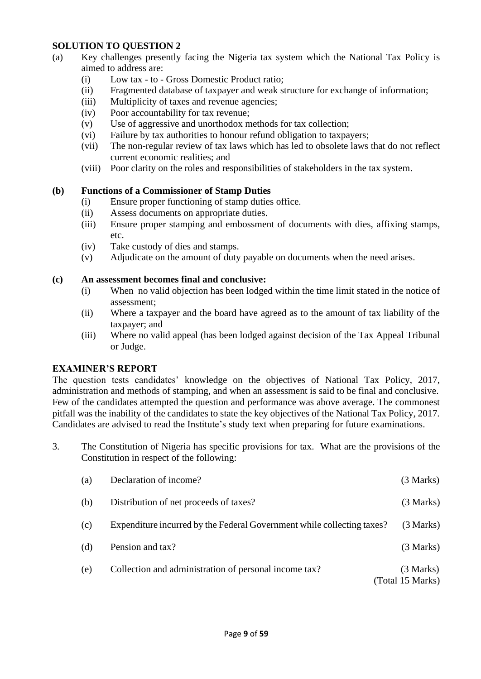- (a) Key challenges presently facing the Nigeria tax system which the National Tax Policy is aimed to address are:
	- (i) Low tax to Gross Domestic Product ratio;
	- (ii) Fragmented database of taxpayer and weak structure for exchange of information;
	- (iii) Multiplicity of taxes and revenue agencies;
	- (iv) Poor accountability for tax revenue;
	- (v) Use of aggressive and unorthodox methods for tax collection;
	- (vi) Failure by tax authorities to honour refund obligation to taxpayers;
	- (vii) The non-regular review of tax laws which has led to obsolete laws that do not reflect current economic realities; and
	- (viii) Poor clarity on the roles and responsibilities of stakeholders in the tax system.

#### **(b) Functions of a Commissioner of Stamp Duties**

- (i) Ensure proper functioning of stamp duties office.
- (ii) Assess documents on appropriate duties.
- (iii) Ensure proper stamping and embossment of documents with dies, affixing stamps, etc.
- (iv) Take custody of dies and stamps.
- (v) Adjudicate on the amount of duty payable on documents when the need arises.

#### **(c) An assessment becomes final and conclusive:**

- (i) When no valid objection has been lodged within the time limit stated in the notice of assessment;
- (ii) Where a taxpayer and the board have agreed as to the amount of tax liability of the taxpayer; and
- (iii) Where no valid appeal (has been lodged against decision of the Tax Appeal Tribunal or Judge.

#### **EXAMINER'S REPORT**

The question tests candidates' knowledge on the objectives of National Tax Policy, 2017, administration and methods of stamping, and when an assessment is said to be final and conclusive. Few of the candidates attempted the question and performance was above average. The commonest pitfall was the inability of the candidates to state the key objectives of the National Tax Policy, 2017. Candidates are advised to read the Institute's study text when preparing for future examinations.

3. The Constitution of Nigeria has specific provisions for tax. What are the provisions of the Constitution in respect of the following:

| (a) | Declaration of income?                                                 | (3 Marks)                     |
|-----|------------------------------------------------------------------------|-------------------------------|
| (b) | Distribution of net proceeds of taxes?                                 | (3 Marks)                     |
| (c) | Expenditure incurred by the Federal Government while collecting taxes? | (3 Marks)                     |
| (d) | Pension and tax?                                                       | (3 Marks)                     |
| (e) | Collection and administration of personal income tax?                  | (3 Marks)<br>(Total 15 Marks) |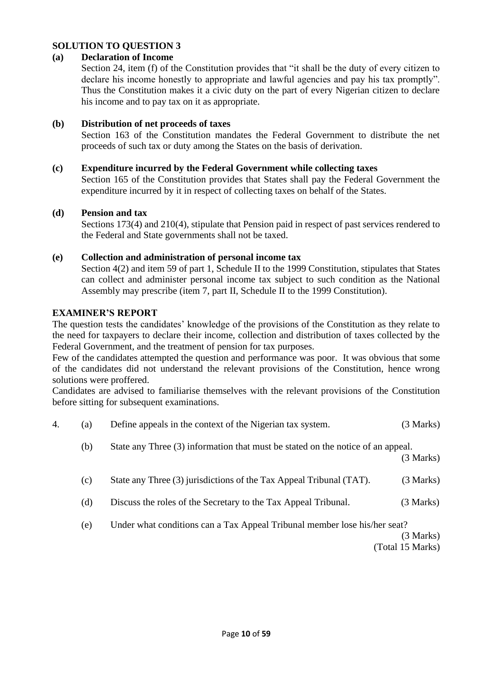#### **(a) Declaration of Income**

Section 24, item (f) of the Constitution provides that "it shall be the duty of every citizen to declare his income honestly to appropriate and lawful agencies and pay his tax promptly". Thus the Constitution makes it a civic duty on the part of every Nigerian citizen to declare his income and to pay tax on it as appropriate.

#### **(b) Distribution of net proceeds of taxes**

Section 163 of the Constitution mandates the Federal Government to distribute the net proceeds of such tax or duty among the States on the basis of derivation.

#### **(c) Expenditure incurred by the Federal Government while collecting taxes**

Section 165 of the Constitution provides that States shall pay the Federal Government the expenditure incurred by it in respect of collecting taxes on behalf of the States.

#### **(d) Pension and tax**

Sections 173(4) and 210(4), stipulate that Pension paid in respect of past services rendered to the Federal and State governments shall not be taxed.

#### **(e) Collection and administration of personal income tax**

Section 4(2) and item 59 of part 1, Schedule II to the 1999 Constitution, stipulates that States can collect and administer personal income tax subject to such condition as the National Assembly may prescribe (item 7, part II, Schedule II to the 1999 Constitution).

#### **EXAMINER'S REPORT**

The question tests the candidates' knowledge of the provisions of the Constitution as they relate to the need for taxpayers to declare their income, collection and distribution of taxes collected by the Federal Government, and the treatment of pension for tax purposes.

Few of the candidates attempted the question and performance was poor. It was obvious that some of the candidates did not understand the relevant provisions of the Constitution, hence wrong solutions were proffered.

Candidates are advised to familiarise themselves with the relevant provisions of the Constitution before sitting for subsequent examinations.

| 4. | (a) | Define appeals in the context of the Nigerian tax system.                       | (3 Marks) |
|----|-----|---------------------------------------------------------------------------------|-----------|
|    | (b) | State any Three (3) information that must be stated on the notice of an appeal. | (3 Marks) |
|    | (c) | State any Three (3) jurisdictions of the Tax Appeal Tribunal (TAT).             | (3 Marks) |

- (d) Discuss the roles of the Secretary to the Tax Appeal Tribunal. (3 Marks)
- (e) Under what conditions can a Tax Appeal Tribunal member lose his/her seat?

(3 Marks)

(Total 15 Marks)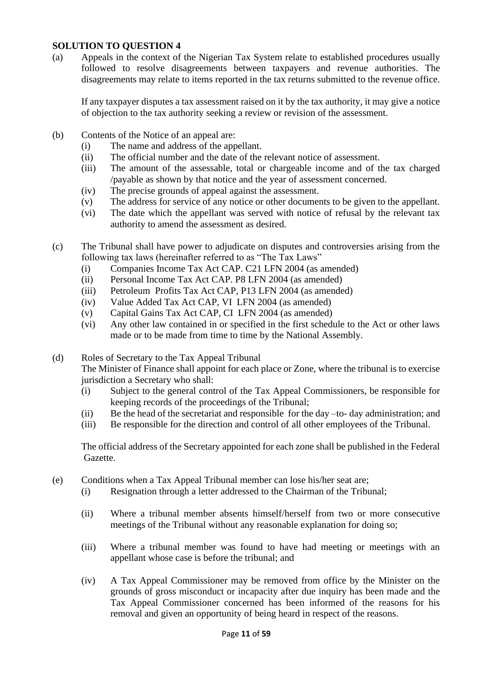(a) Appeals in the context of the Nigerian Tax System relate to established procedures usually followed to resolve disagreements between taxpayers and revenue authorities. The disagreements may relate to items reported in the tax returns submitted to the revenue office.

If any taxpayer disputes a tax assessment raised on it by the tax authority, it may give a notice of objection to the tax authority seeking a review or revision of the assessment.

- (b) Contents of the Notice of an appeal are:
	- (i) The name and address of the appellant.
	- (ii) The official number and the date of the relevant notice of assessment.
	- (iii) The amount of the assessable, total or chargeable income and of the tax charged /payable as shown by that notice and the year of assessment concerned.
	- (iv) The precise grounds of appeal against the assessment.
	- (v) The address for service of any notice or other documents to be given to the appellant.
	- (vi) The date which the appellant was served with notice of refusal by the relevant tax authority to amend the assessment as desired.
- (c) The Tribunal shall have power to adjudicate on disputes and controversies arising from the following tax laws (hereinafter referred to as "The Tax Laws"
	- (i) Companies Income Tax Act CAP. C21 LFN 2004 (as amended)
	- (ii) Personal Income Tax Act CAP. P8 LFN 2004 (as amended)
	- (iii) Petroleum Profits Tax Act CAP, P13 LFN 2004 (as amended)
	- (iv) Value Added Tax Act CAP, VI LFN 2004 (as amended)
	- (v) Capital Gains Tax Act CAP, CI LFN 2004 (as amended)
	- (vi) Any other law contained in or specified in the first schedule to the Act or other laws made or to be made from time to time by the National Assembly.

(d) Roles of Secretary to the Tax Appeal Tribunal

The Minister of Finance shall appoint for each place or Zone, where the tribunal is to exercise jurisdiction a Secretary who shall:

- (i) Subject to the general control of the Tax Appeal Commissioners, be responsible for keeping records of the proceedings of the Tribunal;
- (ii) Be the head of the secretariat and responsible for the day –to- day administration; and
- (iii) Be responsible for the direction and control of all other employees of the Tribunal.

 The official address of the Secretary appointed for each zone shall be published in the Federal Gazette.

- (e) Conditions when a Tax Appeal Tribunal member can lose his/her seat are;
	- (i) Resignation through a letter addressed to the Chairman of the Tribunal;
	- (ii) Where a tribunal member absents himself/herself from two or more consecutive meetings of the Tribunal without any reasonable explanation for doing so;
	- (iii) Where a tribunal member was found to have had meeting or meetings with an appellant whose case is before the tribunal; and
	- (iv) A Tax Appeal Commissioner may be removed from office by the Minister on the grounds of gross misconduct or incapacity after due inquiry has been made and the Tax Appeal Commissioner concerned has been informed of the reasons for his removal and given an opportunity of being heard in respect of the reasons.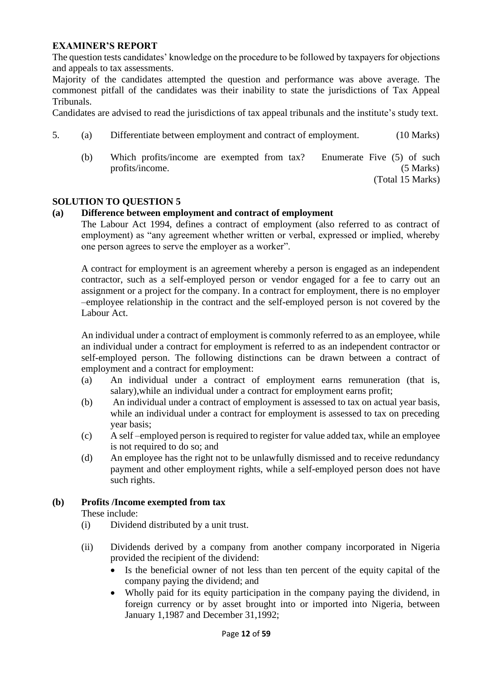#### **EXAMINER'S REPORT**

The question tests candidates' knowledge on the procedure to be followed by taxpayers for objections and appeals to tax assessments.

Majority of the candidates attempted the question and performance was above average. The commonest pitfall of the candidates was their inability to state the jurisdictions of Tax Appeal Tribunals.

Candidates are advised to read the jurisdictions of tax appeal tribunals and the institute's study text.

- 5. (a) Differentiate between employment and contract of employment. (10 Marks)
	- (b) Which profits/income are exempted from tax? Enumerate Five (5) of such profits/income. (5 Marks)

(Total 15 Marks)

#### **SOLUTION TO QUESTION 5**

#### **(a) Difference between employment and contract of employment**

The Labour Act 1994, defines a contract of employment (also referred to as contract of employment) as "any agreement whether written or verbal, expressed or implied, whereby one person agrees to serve the employer as a worker".

A contract for employment is an agreement whereby a person is engaged as an independent contractor, such as a self-employed person or vendor engaged for a fee to carry out an assignment or a project for the company. In a contract for employment, there is no employer –employee relationship in the contract and the self-employed person is not covered by the Labour Act.

An individual under a contract of employment is commonly referred to as an employee, while an individual under a contract for employment is referred to as an independent contractor or self-employed person. The following distinctions can be drawn between a contract of employment and a contract for employment:

- (a) An individual under a contract of employment earns remuneration (that is, salary),while an individual under a contract for employment earns profit;
- (b) An individual under a contract of employment is assessed to tax on actual year basis, while an individual under a contract for employment is assessed to tax on preceding year basis;
- (c) A self –employed person is required to register for value added tax, while an employee is not required to do so; and
- (d) An employee has the right not to be unlawfully dismissed and to receive redundancy payment and other employment rights, while a self-employed person does not have such rights.

#### **(b) Profits /Income exempted from tax**

These include:

- (i) Dividend distributed by a unit trust.
- (ii) Dividends derived by a company from another company incorporated in Nigeria provided the recipient of the dividend:
	- Is the beneficial owner of not less than ten percent of the equity capital of the company paying the dividend; and
	- Wholly paid for its equity participation in the company paying the dividend, in foreign currency or by asset brought into or imported into Nigeria, between January 1,1987 and December 31,1992;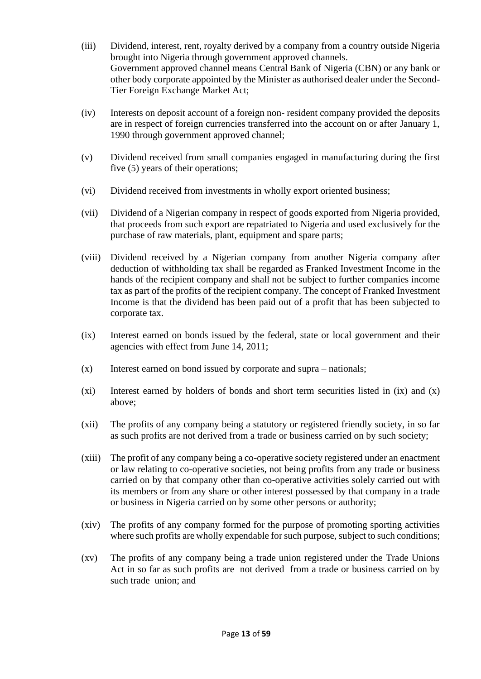- (iii) Dividend, interest, rent, royalty derived by a company from a country outside Nigeria brought into Nigeria through government approved channels. Government approved channel means Central Bank of Nigeria (CBN) or any bank or other body corporate appointed by the Minister as authorised dealer under the Second- Tier Foreign Exchange Market Act;
- (iv) Interests on deposit account of a foreign non- resident company provided the deposits are in respect of foreign currencies transferred into the account on or after January 1, 1990 through government approved channel;
- (v) Dividend received from small companies engaged in manufacturing during the first five (5) years of their operations;
- (vi) Dividend received from investments in wholly export oriented business;
- (vii) Dividend of a Nigerian company in respect of goods exported from Nigeria provided, that proceeds from such export are repatriated to Nigeria and used exclusively for the purchase of raw materials, plant, equipment and spare parts;
- (viii) Dividend received by a Nigerian company from another Nigeria company after deduction of withholding tax shall be regarded as Franked Investment Income in the hands of the recipient company and shall not be subject to further companies income tax as part of the profits of the recipient company. The concept of Franked Investment Income is that the dividend has been paid out of a profit that has been subjected to corporate tax.
- (ix) Interest earned on bonds issued by the federal, state or local government and their agencies with effect from June 14, 2011;
- (x) Interest earned on bond issued by corporate and supra nationals;
- (xi) Interest earned by holders of bonds and short term securities listed in (ix) and (x) above;
- (xii) The profits of any company being a statutory or registered friendly society, in so far as such profits are not derived from a trade or business carried on by such society;
- (xiii) The profit of any company being a co-operative society registered under an enactment or law relating to co-operative societies, not being profits from any trade or business carried on by that company other than co-operative activities solely carried out with its members or from any share or other interest possessed by that company in a trade or business in Nigeria carried on by some other persons or authority;
- (xiv) The profits of any company formed for the purpose of promoting sporting activities where such profits are wholly expendable for such purpose, subject to such conditions;
- (xv) The profits of any company being a trade union registered under the Trade Unions Act in so far as such profits are not derived from a trade or business carried on by such trade union; and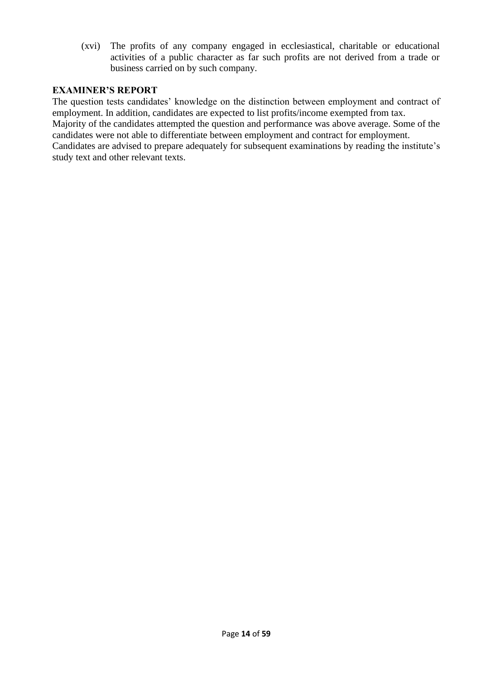(xvi) The profits of any company engaged in ecclesiastical, charitable or educational activities of a public character as far such profits are not derived from a trade or business carried on by such company.

### **EXAMINER'S REPORT**

The question tests candidates' knowledge on the distinction between employment and contract of employment. In addition, candidates are expected to list profits/income exempted from tax. Majority of the candidates attempted the question and performance was above average. Some of the candidates were not able to differentiate between employment and contract for employment. Candidates are advised to prepare adequately for subsequent examinations by reading the institute's study text and other relevant texts.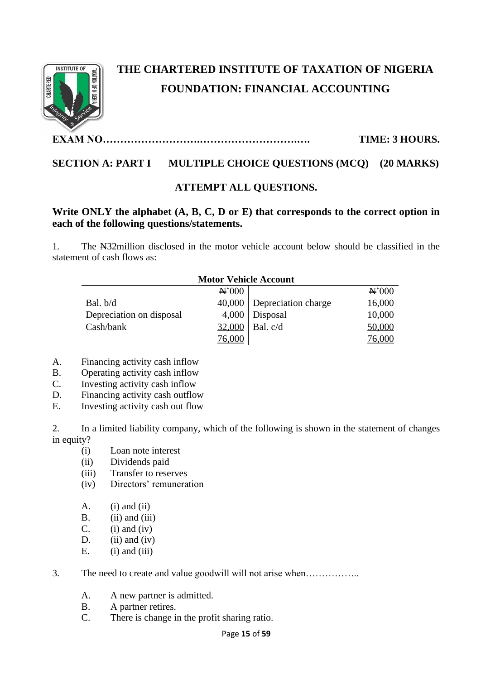

# **THE CHARTERED INSTITUTE OF TAXATION OF NIGERIA FOUNDATION: FINANCIAL ACCOUNTING**

**EXAM NO……………………….……………………….…. TIME: 3 HOURS.**

# **SECTION A: PART I MULTIPLE CHOICE QUESTIONS (MCQ) (20 MARKS)**

## **ATTEMPT ALL QUESTIONS.**

# **Write ONLY the alphabet (A, B, C, D or E) that corresponds to the correct option in each of the following questions/statements.**

1. The N32million disclosed in the motor vehicle account below should be classified in the statement of cash flows as:

76,000 76,000

|                          | <b>Motor Vehicle Account</b> |                              |                   |
|--------------------------|------------------------------|------------------------------|-------------------|
|                          | N'000                        |                              | $\mathbf{N}^2000$ |
| Bal. b/d                 |                              | $40,000$ Depreciation charge | 16,000            |
| Depreciation on disposal |                              | $4,000$ Disposal             | 10,000            |
| Cash/bank                | 32,000                       | Bal. c/d                     | 50,000            |

#### A. Financing activity cash inflow

- B. Operating activity cash inflow
- C. Investing activity cash inflow
- D. Financing activity cash outflow
- E. Investing activity cash out flow

2. In a limited liability company, which of the following is shown in the statement of changes in equity?

- (i) Loan note interest
- (ii) Dividends paid
- (iii) Transfer to reserves
- (iv) Directors' remuneration
- $A.$  (i) and (ii)
- $B.$  (ii) and (iii)
- $C.$  (i) and (iv)
- D. (ii) and (iv)
- $E.$  (i) and (iii)
- 3. The need to create and value goodwill will not arise when……………..
	- A. A new partner is admitted.
	- B. A partner retires.
	- C. There is change in the profit sharing ratio.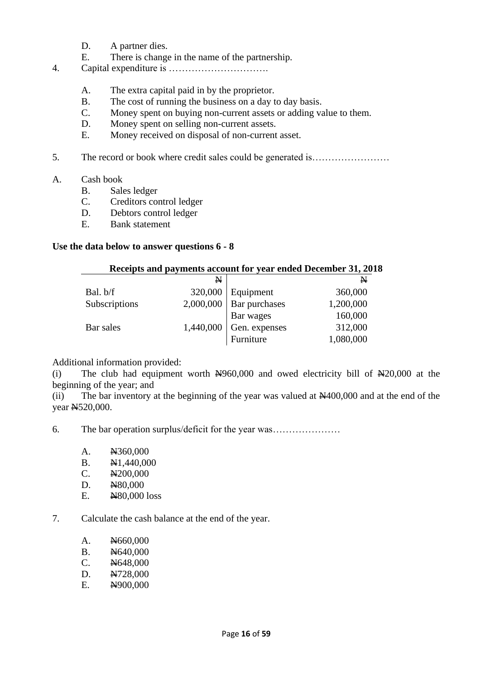- D. A partner dies.
- E. There is change in the name of the partnership.
- 4. Capital expenditure is ………………………….
	- A. The extra capital paid in by the proprietor.
	- B. The cost of running the business on a day to day basis.
	- C. Money spent on buying non-current assets or adding value to them.
	- D. Money spent on selling non-current assets.
	- E. Money received on disposal of non-current asset.
- 5. The record or book where credit sales could be generated is……………………
- A. Cash book
	- B. Sales ledger
	- C. Creditors control ledger
	- D. Debtors control ledger
	- E. Bank statement

#### **Use the data below to answer questions 6 - 8**

#### **Receipts and payments account for year ended December 31, 2018**

|               | N         |                            | $\mathbf N$ |
|---------------|-----------|----------------------------|-------------|
| Bal. b/f      | 320,000   | Equipment                  | 360,000     |
| Subscriptions |           | $2,000,000$ Bar purchases  | 1,200,000   |
|               |           | Bar wages<br>Gen. expenses | 160,000     |
| Bar sales     | 1,440,000 |                            | 312,000     |
|               |           | Furniture                  | 1,080,000   |

Additional information provided:

(i) The club had equipment worth  $\frac{N}{960,000}$  and owed electricity bill of  $\frac{N}{20,000}$  at the beginning of the year; and

(ii) The bar inventory at the beginning of the year was valued at  $\mathbb{N}400,000$  and at the end of the year N520,000.

6. The bar operation surplus/deficit for the year was…………………

- A.  $N360,000$
- B.  $\text{N1,440,000}$
- C. N200,000
- D. N80,000
- E. **N**80,000 loss

7. Calculate the cash balance at the end of the year.

| N <sub>660</sub> ,000<br>A. |
|-----------------------------|
|-----------------------------|

- B.  $\cancel{\text{N}640,000}$
- C. N648,000
- D. N728,000
- E. N900,000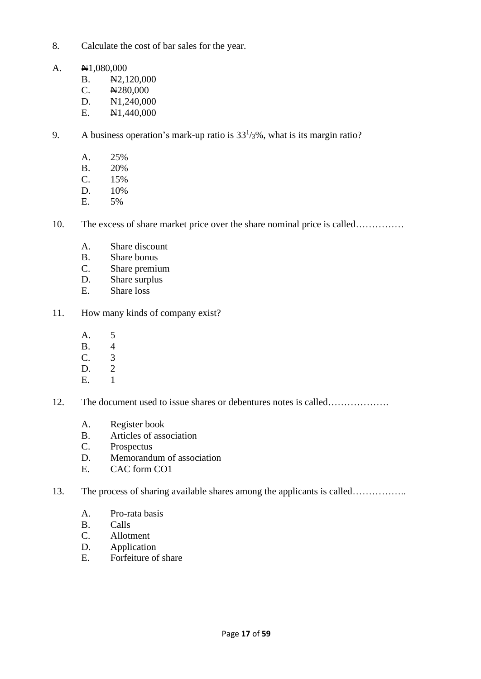- 8. Calculate the cost of bar sales for the year.
- A.  $\text{N1,080,000}$ 
	- B. N2,120,000
	- C.  $N280,000$
	- D.  $\text{N1},240,000$
	- E.  $\cancel{\text{N1,440,000}}$
- 9. A business operation's mark-up ratio is  $33<sup>1</sup>/3\%$ , what is its margin ratio?
	- A. 25%
	- B. 20%
	- C. 15%
	- D. 10%
	- E. 5%
- 10. The excess of share market price over the share nominal price is called……………
	- A. Share discount
	- B. Share bonus
	- C. Share premium
	- D. Share surplus
	- E. Share loss
- 11. How many kinds of company exist?
	- A. 5
	- B. 4
	- $\begin{matrix} C. & 3 \\ D. & 2 \end{matrix}$
	- $D<sub>2</sub>$
	- E. 1
- 12. The document used to issue shares or debentures notes is called…………………
	- A. Register book
	- B. Articles of association
	- C. Prospectus
	- D. Memorandum of association
	- E. CAC form CO1
- 13. The process of sharing available shares among the applicants is called…………….
	- A. Pro-rata basis
	- B. Calls
	- C. Allotment
	- D. Application
	- E. Forfeiture of share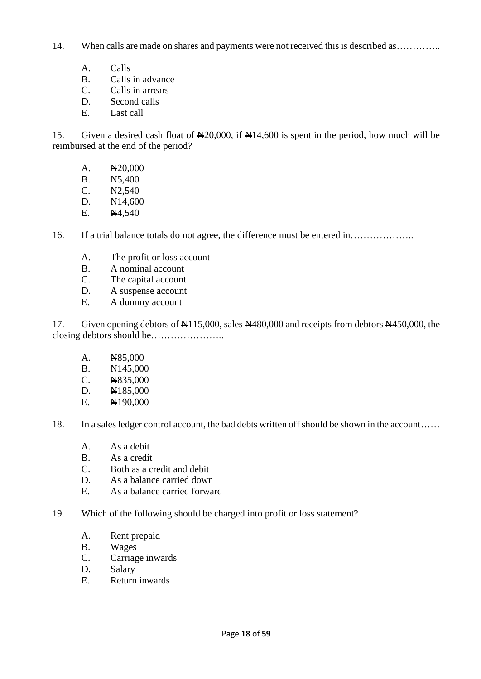14. When calls are made on shares and payments were not received this is described as ..............

- A. Calls
- B. Calls in advance
- C. Calls in arrears
- D. Second calls
- E. Last call

15. Given a desired cash float of N20,000, if N14,600 is spent in the period, how much will be reimbursed at the end of the period?

- A. N20,000
- B. N5,400
- C. N2,540
- D.  $N14,600$
- E.  $\cancel{N4,540}$

16. If a trial balance totals do not agree, the difference must be entered in………………..

- A. The profit or loss account
- B. A nominal account
- C. The capital account
- D. A suspense account
- E. A dummy account

17. Given opening debtors of  $\frac{1115,000}{150,000}$ , sales  $\frac{11480,000}{150,000}$  and receipts from debtors  $\frac{11450,000}{150,000}$ , the closing debtors should be…………………..

- A. N85,000
- B. N145,000
- C. N835,000
- D.  $N185,000$
- E. N190,000

18. In a sales ledger control account, the bad debts written off should be shown in the account……

- A. As a debit
- B. As a credit
- C. Both as a credit and debit
- D. As a balance carried down
- E. As a balance carried forward
- 19. Which of the following should be charged into profit or loss statement?
	- A. Rent prepaid
	- B. Wages
	- C. Carriage inwards
	- D. Salary
	- E. Return inwards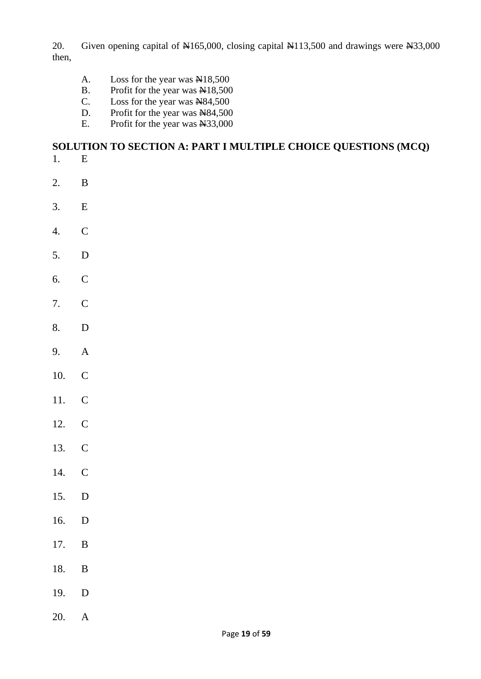20. Given opening capital of  $\text{\textsterling}165,000$ , closing capital  $\text{\textsterling}113,500$  and drawings were  $\text{\textsterling}33,000$ then,

- A. Loss for the year was  $\mathbb{R}18,500$
- B. Profit for the year was  $\angle$  N18,500
- C. Loss for the year was  $N84,500$
- D. Profit for the year was  $N84,500$
- E. Profit for the year was N33,000

# **SOLUTION TO SECTION A: PART I MULTIPLE CHOICE QUESTIONS (MCQ)**

- 1. E
- 2. B
- 3. E
- 4. C
- 5. D
- 6. C
- 7. C
- 8. D
- 9. A
- 10. C
- 11. C
- 12. C
- 13. C
- 14. C
- 15. D
- 16. D
- 17. B
- 18. B
- 19. D
- 20. A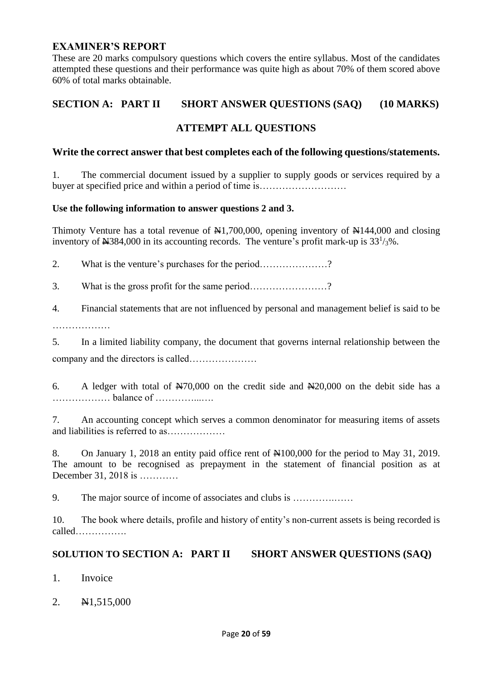# **EXAMINER'S REPORT**

These are 20 marks compulsory questions which covers the entire syllabus. Most of the candidates attempted these questions and their performance was quite high as about 70% of them scored above 60% of total marks obtainable.

# **SECTION A: PART II SHORT ANSWER QUESTIONS (SAQ) (10 MARKS)**

# **ATTEMPT ALL QUESTIONS**

#### **Write the correct answer that best completes each of the following questions/statements.**

1. The commercial document issued by a supplier to supply goods or services required by a buyer at specified price and within a period of time is………………………

#### **Use the following information to answer questions 2 and 3.**

Thimoty Venture has a total revenue of  $\frac{1}{2}$ , 700,000, opening inventory of  $\frac{1}{2}$  144,000 and closing inventory of  $\text{H}384,000$  in its accounting records. The venture's profit mark-up is  $33^{1/3}\%$ .

2. What is the venture's purchases for the period…………………?

3. What is the gross profit for the same period……………………?

4. Financial statements that are not influenced by personal and management belief is said to be ……………………

5. In a limited liability company, the document that governs internal relationship between the company and the directors is called…………………

6. A ledger with total of  $\frac{N70,000}{N}$  on the credit side and  $\frac{N20,000}{N}$  on the debit side has a ……………… balance of …………...….

7. An accounting concept which serves a common denominator for measuring items of assets and liabilities is referred to as………………

8. On January 1, 2018 an entity paid office rent of  $\mathbb{N}100,000$  for the period to May 31, 2019. The amount to be recognised as prepayment in the statement of financial position as at December 31, 2018 is …………

9. The major source of income of associates and clubs is ………….……

10. The book where details, profile and history of entity's non-current assets is being recorded is called…………….

### **SOLUTION TO SECTION A: PART II SHORT ANSWER QUESTIONS (SAQ)**

- 1. Invoice
- 2. **N**1,515,000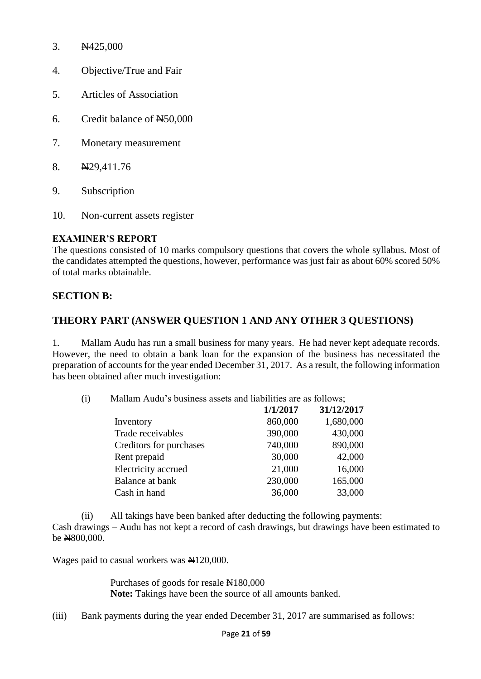- 3. N425,000
- 4. Objective/True and Fair
- 5. Articles of Association
- 6. Credit balance of N50,000
- 7. Monetary measurement
- 8. N29,411.76
- 9. Subscription
- 10. Non-current assets register

# **EXAMINER'S REPORT**

The questions consisted of 10 marks compulsory questions that covers the whole syllabus. Most of the candidates attempted the questions, however, performance was just fair as about 60% scored 50% of total marks obtainable.

# **SECTION B:**

# **THEORY PART (ANSWER QUESTION 1 AND ANY OTHER 3 QUESTIONS)**

1. Mallam Audu has run a small business for many years. He had never kept adequate records. However, the need to obtain a bank loan for the expansion of the business has necessitated the preparation of accounts for the year ended December 31, 2017. As a result, the following information has been obtained after much investigation:

(i) Mallam Audu's business assets and liabilities are as follows;

|                         | 1/1/2017 | 31/12/2017 |
|-------------------------|----------|------------|
| Inventory               | 860,000  | 1,680,000  |
| Trade receivables       | 390,000  | 430,000    |
| Creditors for purchases | 740,000  | 890,000    |
| Rent prepaid            | 30,000   | 42,000     |
| Electricity accrued     | 21,000   | 16,000     |
| <b>Balance at bank</b>  | 230,000  | 165,000    |
| Cash in hand            | 36,000   | 33,000     |

(ii) All takings have been banked after deducting the following payments: Cash drawings – Audu has not kept a record of cash drawings, but drawings have been estimated to be N800,000.

Wages paid to casual workers was  $\mathbb{N}120,000$ .

Purchases of goods for resale  $\text{N}180,000$ **Note:** Takings have been the source of all amounts banked.

(iii) Bank payments during the year ended December 31, 2017 are summarised as follows: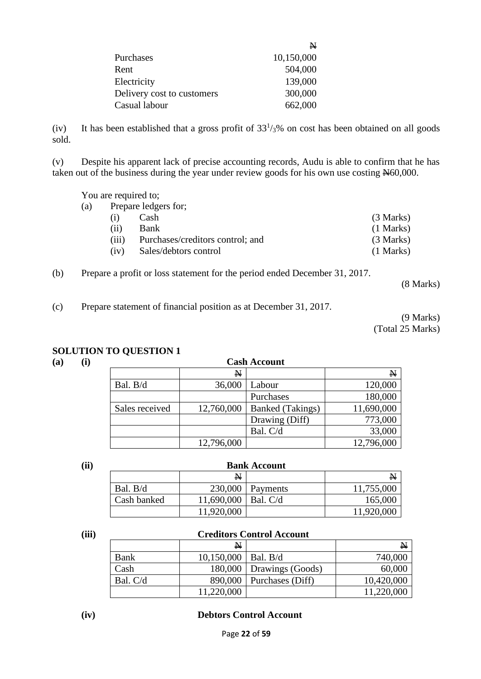| N          |
|------------|
| 10,150,000 |
| 504,000    |
| 139,000    |
| 300,000    |
| 662,000    |
|            |

(iv) It has been established that a gross profit of  $33<sup>1</sup>/3%$  on cost has been obtained on all goods sold.

(v) Despite his apparent lack of precise accounting records, Audu is able to confirm that he has taken out of the business during the year under review goods for his own use costing N60,000.

You are required to;

 $(a)$ 

| (3 Marks)   |
|-------------|
| $(1$ Marks) |
| (3 Marks)   |
| $(1$ Marks) |
|             |

(b) Prepare a profit or loss statement for the period ended December 31, 2017.

(8 Marks)

(c) Prepare statement of financial position as at December 31, 2017.

(9 Marks) (Total 25 Marks)

### **SOLUTION TO QUESTION 1**

| (a)<br>(i) |                | <b>Cash Account</b> |                         |             |  |
|------------|----------------|---------------------|-------------------------|-------------|--|
|            |                | $\mathbf{N}$        |                         | $\mathbf N$ |  |
|            | Bal. B/d       | 36,000              | Labour                  | 120,000     |  |
|            |                |                     | Purchases               | 180,000     |  |
|            | Sales received | 12,760,000          | <b>Banked</b> (Takings) | 11,690,000  |  |
|            |                |                     | Drawing (Diff)          | 773,000     |  |
|            |                |                     | Bal. C/d                | 33,000      |  |
|            |                | 12,796,000          |                         | 12,796,000  |  |

#### **(ii) Bank Account**

|             | $\mathbf{N}$          |                      | N          |
|-------------|-----------------------|----------------------|------------|
| Bal. B/d    |                       | $230,000$   Payments | 11,755,000 |
| Cash banked | 11,690,000   Bal. C/d |                      | 165,000    |
|             | 11,920,000            |                      | 11,920,000 |

#### **(iii) Creditors Control Account**

|          | $\mathbf{N}$            |                              | N          |
|----------|-------------------------|------------------------------|------------|
| Bank     | $10,150,000$   Bal. B/d |                              | 740,000    |
| Cash     |                         | 180,000   Drawings (Goods)   | 60,000     |
| Bal. C/d |                         | $890,000$   Purchases (Diff) | 10,420,000 |
|          | 11,220,000              |                              | 11,220,000 |

#### **(iv) Debtors Control Account**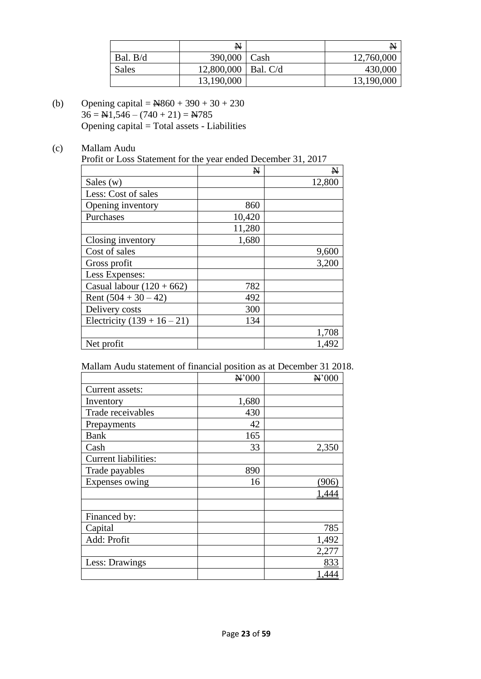|          | N                     |      | N          |
|----------|-----------------------|------|------------|
| Bal. B/d | 390,000               | Cash | 12,760,000 |
| Sales    | 12,800,000   Bal. C/d |      | 430,000    |
|          | 13,190,000            |      | 13,190,000 |

- (b) Opening capital =  $\cancel{R}860 + 390 + 30 + 230$  $36 = \text{H1}, 546 - (740 + 21) = \text{H785}$ Opening capital = Total assets - Liabilities
- (c) Mallam Audu

Profit or Loss Statement for the year ended December 31, 2017

|                               | N      | N      |
|-------------------------------|--------|--------|
| Sales $(w)$                   |        | 12,800 |
| Less: Cost of sales           |        |        |
| Opening inventory             | 860    |        |
| Purchases                     | 10,420 |        |
|                               | 11,280 |        |
| Closing inventory             | 1,680  |        |
| Cost of sales                 |        | 9,600  |
| Gross profit                  |        | 3,200  |
| Less Expenses:                |        |        |
| Casual labour $(120 + 662)$   | 782    |        |
| Rent $(504 + 30 - 42)$        | 492    |        |
| Delivery costs                | 300    |        |
| Electricity $(139 + 16 - 21)$ | 134    |        |
|                               |        | 1,708  |
| Net profit                    |        | 1,492  |

Mallam Audu statement of financial position as at December 31 2018.

|                             | N'000 | $\mathbf{H}$ '000 |
|-----------------------------|-------|-------------------|
| Current assets:             |       |                   |
| Inventory                   | 1,680 |                   |
| Trade receivables           | 430   |                   |
| Prepayments                 | 42    |                   |
| <b>Bank</b>                 | 165   |                   |
| Cash                        | 33    | 2,350             |
| <b>Current liabilities:</b> |       |                   |
| Trade payables              | 890   |                   |
| Expenses owing              | 16    | (906)             |
|                             |       | 1,444             |
|                             |       |                   |
| Financed by:                |       |                   |
| Capital                     |       | 785               |
| Add: Profit                 |       | 1,492             |
|                             |       | 2,277             |
| Less: Drawings              |       | 833               |
|                             |       | 1,444             |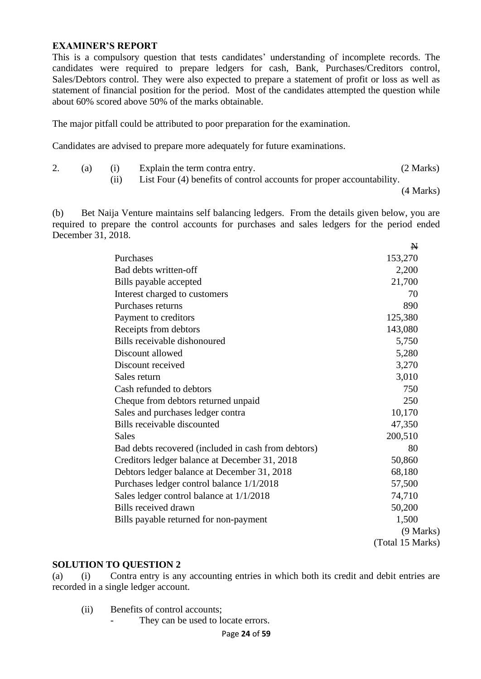#### **EXAMINER'S REPORT**

This is a compulsory question that tests candidates' understanding of incomplete records. The candidates were required to prepare ledgers for cash, Bank, Purchases/Creditors control, Sales/Debtors control. They were also expected to prepare a statement of profit or loss as well as statement of financial position for the period. Most of the candidates attempted the question while about 60% scored above 50% of the marks obtainable.

The major pitfall could be attributed to poor preparation for the examination.

Candidates are advised to prepare more adequately for future examinations.

| z. |  | Explain the term contra entry.                                        | (2 Marks) |
|----|--|-----------------------------------------------------------------------|-----------|
|    |  | List Four (4) benefits of control accounts for proper accountability. |           |

(4 Marks)

(b) Bet Naija Venture maintains self balancing ledgers. From the details given below, you are required to prepare the control accounts for purchases and sales ledgers for the period ended December 31, 2018. **NT** 

|                                                     | $\mathbf{N}$     |
|-----------------------------------------------------|------------------|
| Purchases                                           | 153,270          |
| Bad debts written-off                               | 2,200            |
| Bills payable accepted                              | 21,700           |
| Interest charged to customers                       | 70               |
| Purchases returns                                   | 890              |
| Payment to creditors                                | 125,380          |
| Receipts from debtors                               | 143,080          |
| Bills receivable dishonoured                        | 5,750            |
| Discount allowed                                    | 5,280            |
| Discount received                                   | 3,270            |
| Sales return                                        | 3,010            |
| Cash refunded to debtors                            | 750              |
| Cheque from debtors returned unpaid                 | 250              |
| Sales and purchases ledger contra                   | 10,170           |
| Bills receivable discounted                         | 47,350           |
| Sales                                               | 200,510          |
| Bad debts recovered (included in cash from debtors) | 80               |
| Creditors ledger balance at December 31, 2018       | 50,860           |
| Debtors ledger balance at December 31, 2018         | 68,180           |
| Purchases ledger control balance 1/1/2018           | 57,500           |
| Sales ledger control balance at 1/1/2018            | 74,710           |
| Bills received drawn                                | 50,200           |
| Bills payable returned for non-payment              | 1,500            |
|                                                     | (9 Marks)        |
|                                                     | (Total 15 Marks) |

#### **SOLUTION TO QUESTION 2**

(a) (i) Contra entry is any accounting entries in which both its credit and debit entries are recorded in a single ledger account.

(ii) Benefits of control accounts;

- They can be used to locate errors.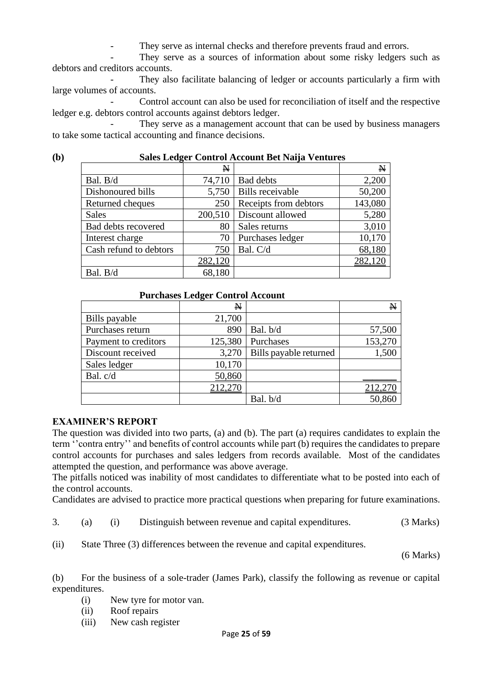They serve as internal checks and therefore prevents fraud and errors.

They serve as a sources of information about some risky ledgers such as debtors and creditors accounts.

They also facilitate balancing of ledger or accounts particularly a firm with large volumes of accounts.

- Control account can also be used for reconciliation of itself and the respective ledger e.g. debtors control accounts against debtors ledger.

They serve as a management account that can be used by business managers to take some tactical accounting and finance decisions.

| $\mathbf{(b)}$ | Sales Ledger Control Account Bet Naija Ventures |  |
|----------------|-------------------------------------------------|--|
|                |                                                 |  |

| ິ                      | $\mathbb{N}$ |                         | $\mathbb N$ |
|------------------------|--------------|-------------------------|-------------|
| Bal. B/d               | 74,710       | <b>Bad debts</b>        | 2,200       |
| Dishonoured bills      | 5,750        | <b>Bills</b> receivable | 50,200      |
| Returned cheques       | 250          | Receipts from debtors   | 143,080     |
| <b>Sales</b>           | 200,510      | Discount allowed        | 5,280       |
| Bad debts recovered    | 80           | Sales returns           | 3,010       |
| Interest charge        | 70           | Purchases ledger        | 10,170      |
| Cash refund to debtors | 750          | Bal. C/d                | 68,180      |
|                        | 282,120      |                         | 282,120     |
| Bal. B/d               | 68,180       |                         |             |

#### **Purchases Ledger Control Account**

|                      | $\mathbf{N}$ |                        | N       |
|----------------------|--------------|------------------------|---------|
| Bills payable        | 21,700       |                        |         |
| Purchases return     | 890          | Bal. b/d               | 57,500  |
| Payment to creditors | 125,380      | Purchases              | 153,270 |
| Discount received    | 3,270        | Bills payable returned | 1,500   |
| Sales ledger         | 10,170       |                        |         |
| Bal. c/d             | 50,860       |                        |         |
|                      | 212,270      |                        | 212,270 |
|                      |              | Bal. b/d               | 50,860  |

#### **EXAMINER'S REPORT**

The question was divided into two parts, (a) and (b). The part (a) requires candidates to explain the term ''contra entry'' and benefits of control accounts while part (b) requires the candidates to prepare control accounts for purchases and sales ledgers from records available. Most of the candidates attempted the question, and performance was above average.

The pitfalls noticed was inability of most candidates to differentiate what to be posted into each of the control accounts.

Candidates are advised to practice more practical questions when preparing for future examinations.

3. (a) (i) Distinguish between revenue and capital expenditures. (3 Marks)

(ii) State Three (3) differences between the revenue and capital expenditures.

(6 Marks)

(b) For the business of a sole-trader (James Park), classify the following as revenue or capital expenditures.

- (i) New tyre for motor van.
- (ii) Roof repairs
- (iii) New cash register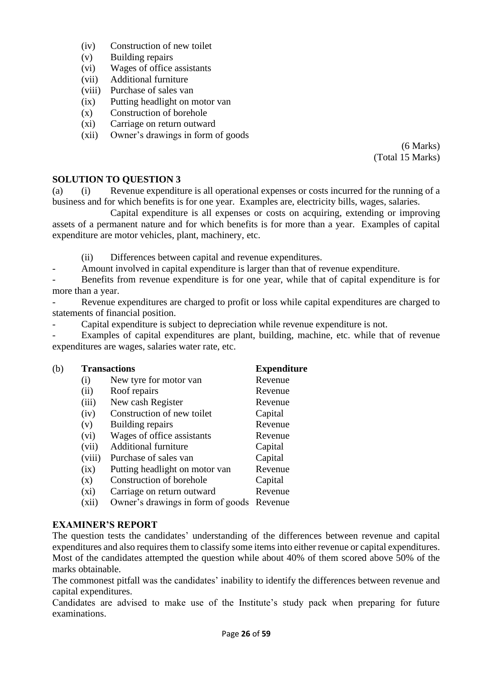- (iv) Construction of new toilet
- (v) Building repairs
- (vi) Wages of office assistants
- (vii) Additional furniture
- (viii) Purchase of sales van
- (ix) Putting headlight on motor van
- (x) Construction of borehole
- (xi) Carriage on return outward
- (xii) Owner's drawings in form of goods

(6 Marks) (Total 15 Marks)

#### **SOLUTION TO QUESTION 3**

(a) (i) Revenue expenditure is all operational expenses or costs incurred for the running of a business and for which benefits is for one year. Examples are, electricity bills, wages, salaries.

Capital expenditure is all expenses or costs on acquiring, extending or improving assets of a permanent nature and for which benefits is for more than a year. Examples of capital expenditure are motor vehicles, plant, machinery, etc.

(ii) Differences between capital and revenue expenditures.

- Amount involved in capital expenditure is larger than that of revenue expenditure.

Benefits from revenue expenditure is for one year, while that of capital expenditure is for more than a year.

Revenue expenditures are charged to profit or loss while capital expenditures are charged to statements of financial position.

- Capital expenditure is subject to depreciation while revenue expenditure is not.

Examples of capital expenditures are plant, building, machine, etc. while that of revenue expenditures are wages, salaries water rate, etc.

| (b) |         | <b>Transactions</b>               | <b>Expenditure</b> |
|-----|---------|-----------------------------------|--------------------|
|     | (i)     | New tyre for motor van            | Revenue            |
|     | (ii)    | Roof repairs                      | Revenue            |
|     | (iii)   | New cash Register                 | Revenue            |
|     | (iv)    | Construction of new toilet        | Capital            |
|     | (v)     | Building repairs                  | Revenue            |
|     | (vi)    | Wages of office assistants        | Revenue            |
|     | (vii)   | <b>Additional furniture</b>       | Capital            |
|     | (viii)  | Purchase of sales van             | Capital            |
|     | (ix)    | Putting headlight on motor van    | Revenue            |
|     | (x)     | Construction of borehole          | Capital            |
|     | $(x_i)$ | Carriage on return outward        | Revenue            |
|     | (xii)   | Owner's drawings in form of goods | Revenue            |
|     |         |                                   |                    |

#### **EXAMINER'S REPORT**

The question tests the candidates' understanding of the differences between revenue and capital expenditures and also requires them to classify some items into either revenue or capital expenditures. Most of the candidates attempted the question while about 40% of them scored above 50% of the marks obtainable.

The commonest pitfall was the candidates' inability to identify the differences between revenue and capital expenditures.

Candidates are advised to make use of the Institute's study pack when preparing for future examinations.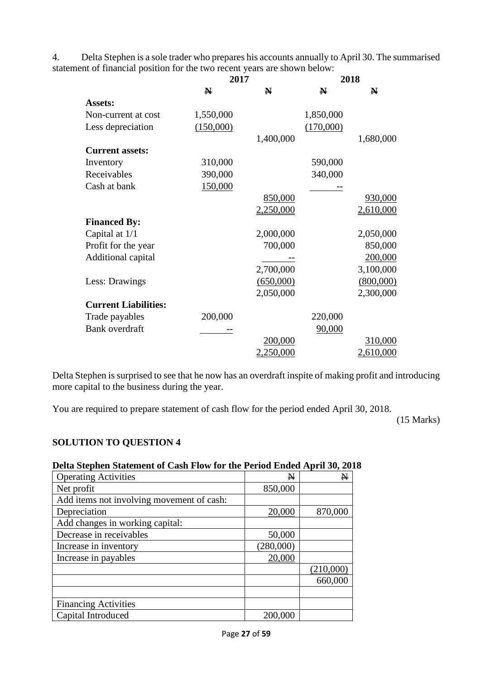4. Delta Stephen is a sole trader who prepares his accounts annually to April 30. The summarised statement of financial position for the two recent years are shown below:

|                             | 2017        |             | 2018        |             |
|-----------------------------|-------------|-------------|-------------|-------------|
|                             | $\mathbf N$ | $\mathbf N$ | $\mathbf N$ | $\mathbf N$ |
| <b>Assets:</b>              |             |             |             |             |
| Non-current at cost         | 1,550,000   |             | 1,850,000   |             |
| Less depreciation           | (150,000)   |             | (170,000)   |             |
|                             |             | 1,400,000   |             | 1,680,000   |
| <b>Current assets:</b>      |             |             |             |             |
| Inventory                   | 310,000     |             | 590,000     |             |
| Receivables                 | 390,000     |             | 340,000     |             |
| Cash at bank                | 150,000     |             |             |             |
|                             |             | 850,000     |             | 930,000     |
|                             |             | 2,250,000   |             | 2,610,000   |
| <b>Financed By:</b>         |             |             |             |             |
| Capital at 1/1              |             | 2,000,000   |             | 2,050,000   |
| Profit for the year         |             | 700,000     |             | 850,000     |
| Additional capital          |             |             |             | 200,000     |
|                             |             | 2,700,000   |             | 3,100,000   |
| Less: Drawings              |             | (650,000)   |             | (800,000)   |
|                             |             | 2,050,000   |             | 2,300,000   |
| <b>Current Liabilities:</b> |             |             |             |             |
| Trade payables              | 200,000     |             | 220,000     |             |
| <b>Bank</b> overdraft       |             |             | 90,000      |             |
|                             |             | 200,000     |             | 310,000     |
|                             |             | 2,250,000   |             | 2,610,000   |

Delta Stephen is surprised to see that he now has an overdraft inspite of making profit and introducing more capital to the business during the year.

You are required to prepare statement of cash flow for the period ended April 30, 2018.

(15 Marks)

# **SOLUTION TO QUESTION 4**

#### **Delta Stephen Statement of Cash Flow for the Period Ended April 30, 2018**

| <b>Operating Activities</b>               | N         | $\mathbf N$ |
|-------------------------------------------|-----------|-------------|
| Net profit                                | 850,000   |             |
| Add items not involving movement of cash: |           |             |
| Depreciation                              | 20,000    | 870,000     |
| Add changes in working capital:           |           |             |
| Decrease in receivables                   | 50,000    |             |
| Increase in inventory                     | (280,000) |             |
| Increase in payables                      | 20,000    |             |
|                                           |           | (210,000)   |
|                                           |           | 660,000     |
|                                           |           |             |
| <b>Financing Activities</b>               |           |             |
| Capital Introduced                        | 200,000   |             |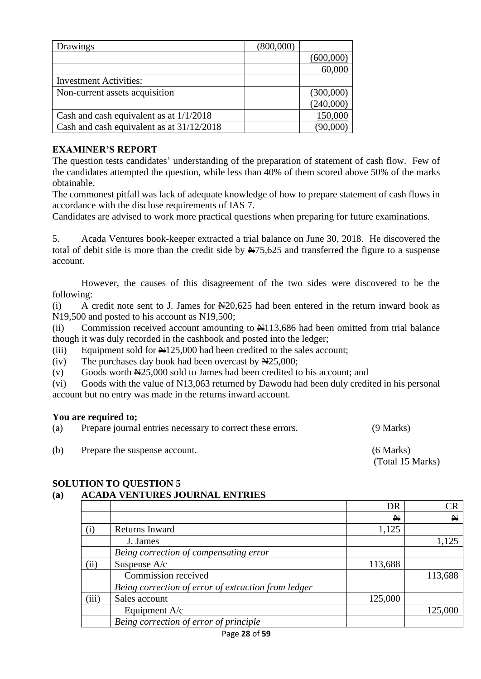| Drawings                                  |           |
|-------------------------------------------|-----------|
|                                           |           |
|                                           | 60,000    |
| <b>Investment Activities:</b>             |           |
| Non-current assets acquisition            | (300,000) |
|                                           | (240,000) |
| Cash and cash equivalent as at $1/1/2018$ | 150,000   |
| Cash and cash equivalent as at 31/12/2018 |           |

# **EXAMINER'S REPORT**

The question tests candidates' understanding of the preparation of statement of cash flow. Few of the candidates attempted the question, while less than 40% of them scored above 50% of the marks obtainable.

The commonest pitfall was lack of adequate knowledge of how to prepare statement of cash flows in accordance with the disclose requirements of IAS 7.

Candidates are advised to work more practical questions when preparing for future examinations.

5. Acada Ventures book-keeper extracted a trial balance on June 30, 2018. He discovered the total of debit side is more than the credit side by  $\frac{N}{5,625}$  and transferred the figure to a suspense account.

However, the causes of this disagreement of the two sides were discovered to be the following:

(i) A credit note sent to J. James for  $\frac{120,625}{1}$  had been entered in the return inward book as  $\overline{N}$ 19,500 and posted to his account as  $\overline{N}$ 19,500;

(ii) Commission received account amounting to N113,686 had been omitted from trial balance though it was duly recorded in the cashbook and posted into the ledger;

(iii) Equipment sold for  $\frac{125,000}{1}$  had been credited to the sales account;

(iv) The purchases day book had been overcast by  $\text{N25,000}$ ;

(v) Goods worth  $\frac{N}{25,000}$  sold to James had been credited to his account; and

(vi) Goods with the value of  $\frac{1413,063}{12}$  returned by Dawodu had been duly credited in his personal account but no entry was made in the returns inward account.

#### **You are required to;**

| (a) | Prepare journal entries necessary to correct these errors. | $(9$ Marks)                     |
|-----|------------------------------------------------------------|---------------------------------|
| (b) | Prepare the suspense account.                              | $(6$ Marks)<br>(Total 15 Marks) |

### **SOLUTION TO QUESTION 5**

### **(a) ACADA VENTURES JOURNAL ENTRIES**

|          |                                                     | DR      | CR           |
|----------|-----------------------------------------------------|---------|--------------|
|          |                                                     | N       | $\mathbf{N}$ |
| $\rm(i)$ | Returns Inward                                      | 1,125   |              |
|          | J. James                                            |         | 1,125        |
|          | Being correction of compensating error              |         |              |
| (ii)     | Suspense A/c                                        | 113,688 |              |
|          | Commission received                                 |         | 113,688      |
|          | Being correction of error of extraction from ledger |         |              |
| (iii)    | Sales account                                       | 125,000 |              |
|          | Equipment A/c                                       |         | 125,000      |
|          | Being correction of error of principle              |         |              |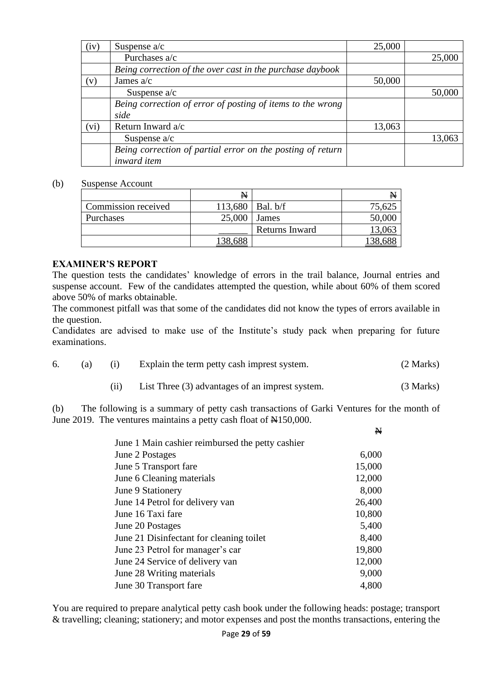| (iv) | Suspense $a/c$                                             | 25,000 |        |
|------|------------------------------------------------------------|--------|--------|
|      | Purchases a/c                                              |        | 25,000 |
|      | Being correction of the over cast in the purchase daybook  |        |        |
| (v)  | James $a/c$                                                | 50,000 |        |
|      | Suspense $a/c$                                             |        | 50,000 |
|      | Being correction of error of posting of items to the wrong |        |        |
|      | side                                                       |        |        |
| (vi) | Return Inward a/c                                          | 13,063 |        |
|      | Suspense $a/c$                                             |        | 13,063 |
|      | Being correction of partial error on the posting of return |        |        |
|      | inward item                                                |        |        |

#### (b) Suspense Account

|                     | $\mathbf{N}$ |                | N      |
|---------------------|--------------|----------------|--------|
| Commission received | 113,680      | Bal. b/f       | 75,625 |
| Purchases           | 25,000       | <b>James</b>   | 50,000 |
|                     |              | Returns Inward |        |
|                     | υo           |                |        |

#### **EXAMINER'S REPORT**

The question tests the candidates' knowledge of errors in the trail balance, Journal entries and suspense account. Few of the candidates attempted the question, while about 60% of them scored above 50% of marks obtainable.

The commonest pitfall was that some of the candidates did not know the types of errors available in the question.

Candidates are advised to make use of the Institute's study pack when preparing for future examinations.

|  | 6. (a) (i) Explain the term petty cash imprest system. | (2 Marks) |
|--|--------------------------------------------------------|-----------|
|  |                                                        |           |

(b) The following is a summary of petty cash transactions of Garki Ventures for the month of June 2019. The ventures maintains a petty cash float of  $\text{H}150,000$ .

(ii) List Three (3) advantages of an imprest system. (3 Marks)

 $\overline{a}$ 

|                                                  | N      |
|--------------------------------------------------|--------|
| June 1 Main cashier reimbursed the petty cashier |        |
| June 2 Postages                                  | 6,000  |
| June 5 Transport fare                            | 15,000 |
| June 6 Cleaning materials                        | 12,000 |
| June 9 Stationery                                | 8,000  |
| June 14 Petrol for delivery van                  | 26,400 |
| June 16 Taxi fare                                | 10,800 |
| June 20 Postages                                 | 5,400  |
| June 21 Disinfectant for cleaning toilet         | 8,400  |
| June 23 Petrol for manager's car                 | 19,800 |
| June 24 Service of delivery van                  | 12,000 |
| June 28 Writing materials                        | 9,000  |
| June 30 Transport fare                           | 4,800  |

You are required to prepare analytical petty cash book under the following heads: postage; transport & travelling; cleaning; stationery; and motor expenses and post the months transactions, entering the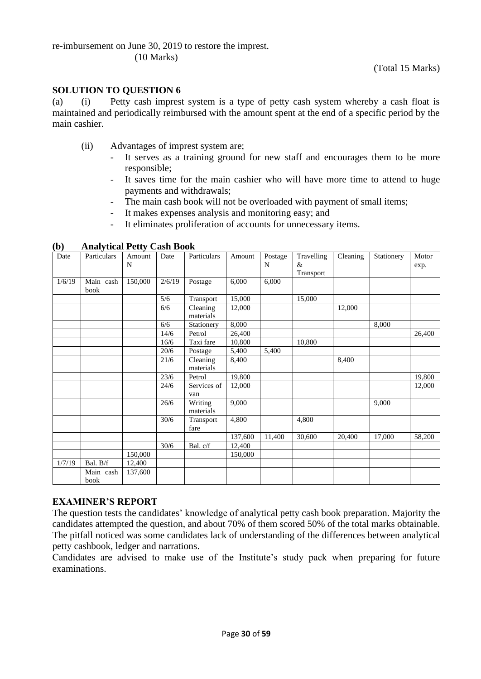re-imbursement on June 30, 2019 to restore the imprest. (10 Marks)

#### **SOLUTION TO QUESTION 6**

(a) (i) Petty cash imprest system is a type of petty cash system whereby a cash float is maintained and periodically reimbursed with the amount spent at the end of a specific period by the main cashier.

- (ii) Advantages of imprest system are;
	- It serves as a training ground for new staff and encourages them to be more responsible;
	- It saves time for the main cashier who will have more time to attend to huge payments and withdrawals;
	- The main cash book will not be overloaded with payment of small items;
	- It makes expenses analysis and monitoring easy; and
	- It eliminates proliferation of accounts for unnecessary items.

| Date   | Particulars       | Amount<br>$\mathbb N$ | Date   | Particulars           | Amount  | Postage<br>$\mathbf{N}$ | Travelling<br>&<br>Transport | Cleaning | Stationery | Motor<br>exp. |
|--------|-------------------|-----------------------|--------|-----------------------|---------|-------------------------|------------------------------|----------|------------|---------------|
| 1/6/19 | Main cash<br>book | 150,000               | 2/6/19 | Postage               | 6,000   | 6,000                   |                              |          |            |               |
|        |                   |                       | 5/6    | Transport             | 15,000  |                         | 15,000                       |          |            |               |
|        |                   |                       | 6/6    | Cleaning<br>materials | 12,000  |                         |                              | 12,000   |            |               |
|        |                   |                       | 6/6    | Stationery            | 8,000   |                         |                              |          | 8,000      |               |
|        |                   |                       | 14/6   | Petrol                | 26,400  |                         |                              |          |            | 26,400        |
|        |                   |                       | 16/6   | Taxi fare             | 10,800  |                         | 10,800                       |          |            |               |
|        |                   |                       | 20/6   | Postage               | 5,400   | 5,400                   |                              |          |            |               |
|        |                   |                       | 21/6   | Cleaning<br>materials | 8,400   |                         |                              | 8,400    |            |               |
|        |                   |                       | 23/6   | Petrol                | 19,800  |                         |                              |          |            | 19,800        |
|        |                   |                       | 24/6   | Services of<br>van    | 12,000  |                         |                              |          |            | 12,000        |
|        |                   |                       | 26/6   | Writing<br>materials  | 9,000   |                         |                              |          | 9,000      |               |
|        |                   |                       | 30/6   | Transport<br>fare     | 4,800   |                         | 4,800                        |          |            |               |
|        |                   |                       |        |                       | 137,600 | 11,400                  | 30,600                       | 20,400   | 17,000     | 58,200        |
|        |                   |                       | 30/6   | Bal. c/f              | 12,400  |                         |                              |          |            |               |
|        |                   | 150,000               |        |                       | 150,000 |                         |                              |          |            |               |
| 1/7/19 | Bal. B/f          | 12,400                |        |                       |         |                         |                              |          |            |               |
|        | Main cash<br>book | 137,600               |        |                       |         |                         |                              |          |            |               |

**(b) Analytical Petty Cash Book**

#### **EXAMINER'S REPORT**

The question tests the candidates' knowledge of analytical petty cash book preparation. Majority the candidates attempted the question, and about 70% of them scored 50% of the total marks obtainable. The pitfall noticed was some candidates lack of understanding of the differences between analytical petty cashbook, ledger and narrations.

Candidates are advised to make use of the Institute's study pack when preparing for future examinations.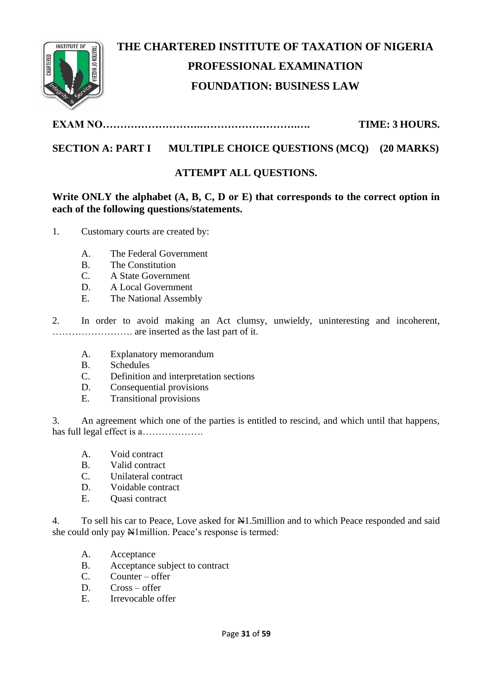

# **THE CHARTERED INSTITUTE OF TAXATION OF NIGERIA PROFESSIONAL EXAMINATION FOUNDATION: BUSINESS LAW**

**EXAM NO……………………….……………………….…. TIME: 3 HOURS.**

# **SECTION A: PART I MULTIPLE CHOICE QUESTIONS (MCQ) (20 MARKS)**

# **ATTEMPT ALL QUESTIONS.**

**Write ONLY the alphabet (A, B, C, D or E) that corresponds to the correct option in each of the following questions/statements.**

- 1. Customary courts are created by:
	- A. The Federal Government
	- B. The Constitution
	- C. A State Government
	- D. A Local Government
	- E. The National Assembly

2. In order to avoid making an Act clumsy, unwieldy, uninteresting and incoherent, ……………………. are inserted as the last part of it.

- A. Explanatory memorandum
- B. Schedules
- C. Definition and interpretation sections
- D. Consequential provisions
- E. Transitional provisions

3. An agreement which one of the parties is entitled to rescind, and which until that happens, has full legal effect is a……………….

- A. Void contract
- B. Valid contract
- C. Unilateral contract
- D. Voidable contract
- E. Quasi contract

4. To sell his car to Peace, Love asked for  $\frac{15}{15}$  million and to which Peace responded and said she could only pay  $\frac{M}{M}$ lmillion. Peace's response is termed:

- A. Acceptance
- B. Acceptance subject to contract
- C. Counter offer
- D. Cross offer
- E. Irrevocable offer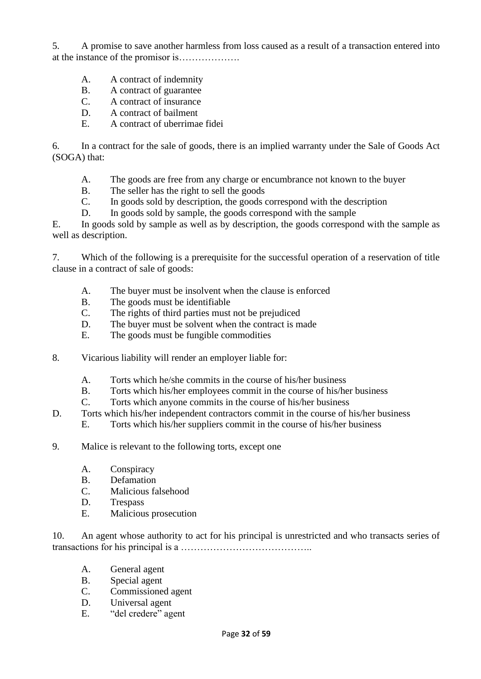5. A promise to save another harmless from loss caused as a result of a transaction entered into at the instance of the promisor is……………….

- A. A contract of indemnity
- B. A contract of guarantee
- C. A contract of insurance
- D. A contract of bailment
- E. A contract of uberrimae fidei

6. In a contract for the sale of goods, there is an implied warranty under the Sale of Goods Act (SOGA) that:

- A. The goods are free from any charge or encumbrance not known to the buyer
- B. The seller has the right to sell the goods
- C. In goods sold by description, the goods correspond with the description
- D. In goods sold by sample, the goods correspond with the sample

E. In goods sold by sample as well as by description, the goods correspond with the sample as well as description.

7. Which of the following is a prerequisite for the successful operation of a reservation of title clause in a contract of sale of goods:

- A. The buyer must be insolvent when the clause is enforced
- B. The goods must be identifiable
- C. The rights of third parties must not be prejudiced
- D. The buyer must be solvent when the contract is made
- E. The goods must be fungible commodities
- 8. Vicarious liability will render an employer liable for:
	- A. Torts which he/she commits in the course of his/her business
	- B. Torts which his/her employees commit in the course of his/her business
	- C. Torts which anyone commits in the course of his/her business
- D. Torts which his/her independent contractors commit in the course of his/her business
	- E. Torts which his/her suppliers commit in the course of his/her business
- 9. Malice is relevant to the following torts, except one
	- A. Conspiracy
	- B. Defamation
	- C. Malicious falsehood
	- D. Trespass
	- E. Malicious prosecution

10. An agent whose authority to act for his principal is unrestricted and who transacts series of transactions for his principal is a …………………………………..

- A. General agent
- B. Special agent
- C. Commissioned agent
- D. Universal agent
- E. "del credere" agent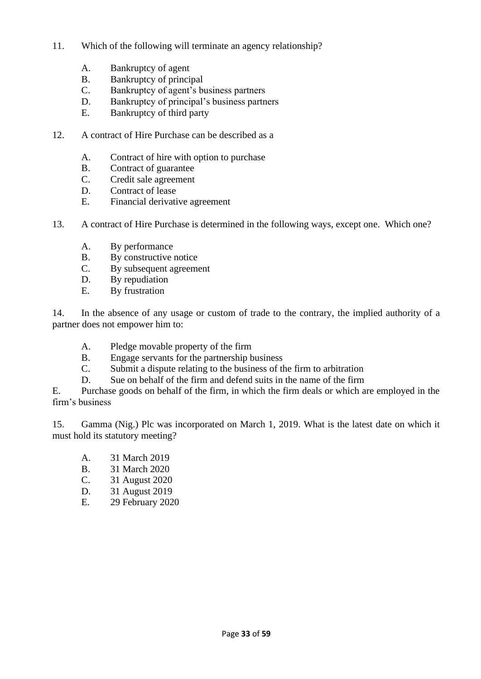- 11. Which of the following will terminate an agency relationship?
	- A. Bankruptcy of agent
	- B. Bankruptcy of principal
	- C. Bankruptcy of agent's business partners
	- D. Bankruptcy of principal's business partners
	- E. Bankruptcy of third party
- 12. A contract of Hire Purchase can be described as a
	- A. Contract of hire with option to purchase
	- B. Contract of guarantee
	- C. Credit sale agreement
	- D. Contract of lease
	- E. Financial derivative agreement
- 13. A contract of Hire Purchase is determined in the following ways, except one. Which one?
	- A. By performance
	- B. By constructive notice
	- C. By subsequent agreement
	- D. By repudiation
	- E. By frustration

14. In the absence of any usage or custom of trade to the contrary, the implied authority of a partner does not empower him to:

- A. Pledge movable property of the firm
- B. Engage servants for the partnership business
- C. Submit a dispute relating to the business of the firm to arbitration
- D. Sue on behalf of the firm and defend suits in the name of the firm

E. Purchase goods on behalf of the firm, in which the firm deals or which are employed in the firm's business

15. Gamma (Nig.) Plc was incorporated on March 1, 2019. What is the latest date on which it must hold its statutory meeting?

- A. 31 March 2019
- B. 31 March 2020
- C. 31 August 2020
- D. 31 August 2019
- E. 29 February 2020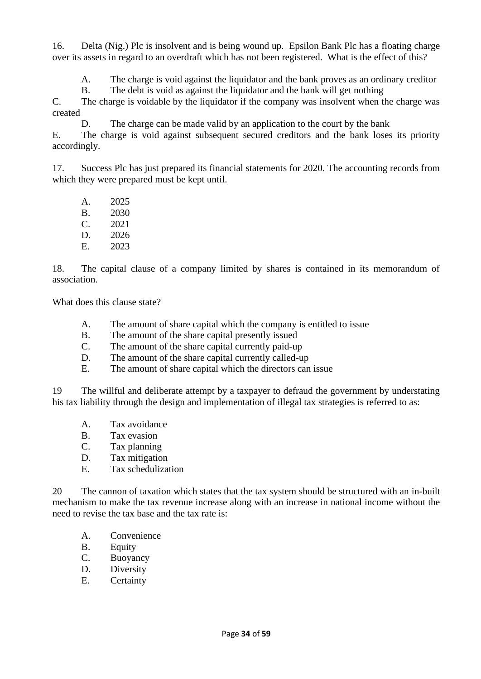16. Delta (Nig.) Plc is insolvent and is being wound up. Epsilon Bank Plc has a floating charge over its assets in regard to an overdraft which has not been registered. What is the effect of this?

A. The charge is void against the liquidator and the bank proves as an ordinary creditor

B. The debt is void as against the liquidator and the bank will get nothing

C. The charge is voidable by the liquidator if the company was insolvent when the charge was created

D. The charge can be made valid by an application to the court by the bank

E. The charge is void against subsequent secured creditors and the bank loses its priority accordingly.

17. Success Plc has just prepared its financial statements for 2020. The accounting records from which they were prepared must be kept until.

A. 2025 B. 2030 C. 2021 D. 2026 E. 2023

18. The capital clause of a company limited by shares is contained in its memorandum of association.

What does this clause state?

- A. The amount of share capital which the company is entitled to issue
- B. The amount of the share capital presently issued
- C. The amount of the share capital currently paid-up
- D. The amount of the share capital currently called-up
- E. The amount of share capital which the directors can issue

19 The willful and deliberate attempt by a taxpayer to defraud the government by understating his tax liability through the design and implementation of illegal tax strategies is referred to as:

- A. Tax avoidance
- B. Tax evasion
- C. Tax planning
- D. Tax mitigation
- E. Tax schedulization

20 The cannon of taxation which states that the tax system should be structured with an in-built mechanism to make the tax revenue increase along with an increase in national income without the need to revise the tax base and the tax rate is:

- A. Convenience
- B. Equity
- C. Buoyancy
- D. Diversity
- E. Certainty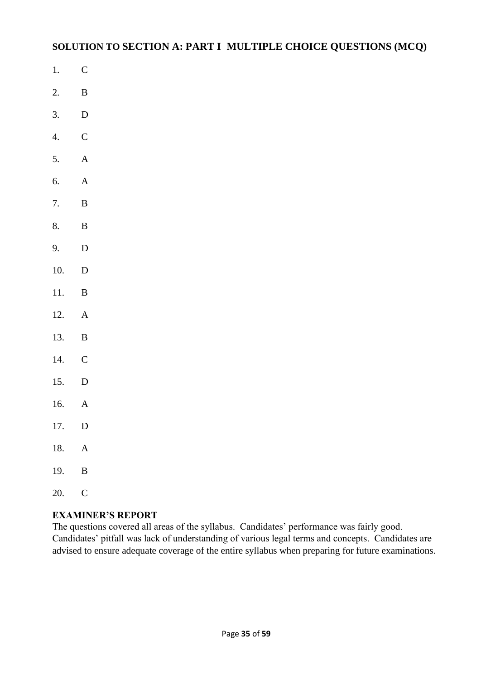# **SOLUTION TO SECTION A: PART I MULTIPLE CHOICE QUESTIONS (MCQ)**

- 1. C
- 2. B
- 3. D
- 4. C
- 5. A
- 6. A
- 7. B
- 8. B
- 9. D
- 10. D
- 11. B
- 12. A
- 13. B
- 14. C
- 15. D
- 16. A
- 17. D
- 18. A
- 19. B
- 20. C

# **EXAMINER'S REPORT**

The questions covered all areas of the syllabus. Candidates' performance was fairly good. Candidates' pitfall was lack of understanding of various legal terms and concepts. Candidates are advised to ensure adequate coverage of the entire syllabus when preparing for future examinations.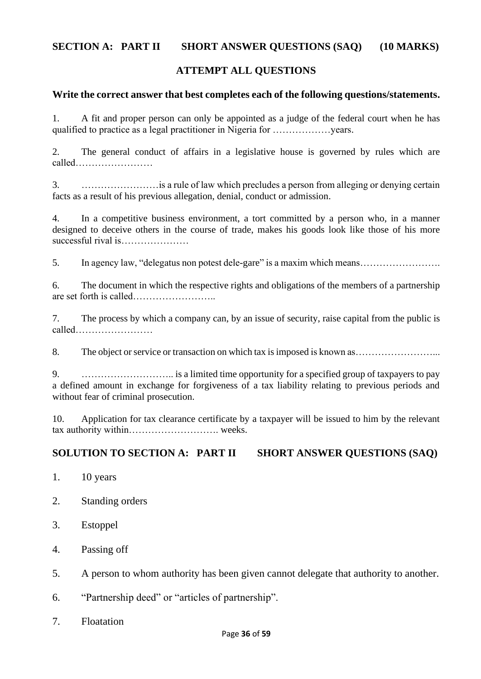# **SECTION A: PART II SHORT ANSWER QUESTIONS (SAQ) (10 MARKS)**

# **ATTEMPT ALL QUESTIONS**

#### **Write the correct answer that best completes each of the following questions/statements.**

1. A fit and proper person can only be appointed as a judge of the federal court when he has qualified to practice as a legal practitioner in Nigeria for ………………years.

2. The general conduct of affairs in a legislative house is governed by rules which are called……………………

3. ……………………is a rule of law which precludes a person from alleging or denying certain facts as a result of his previous allegation, denial, conduct or admission.

4. In a competitive business environment, a tort committed by a person who, in a manner designed to deceive others in the course of trade, makes his goods look like those of his more successful rival is…………………

5. In agency law, "delegatus non potest dele-gare" is a maxim which means…………………….

6. The document in which the respective rights and obligations of the members of a partnership are set forth is called……………………..

7. The process by which a company can, by an issue of security, raise capital from the public is called……………………

8. The object or service or transaction on which tax is imposed is known as……………………...

9. ……………………….. is a limited time opportunity for a specified group of taxpayers to pay a defined amount in exchange for forgiveness of a tax liability relating to previous periods and without fear of criminal prosecution.

10. Application for tax clearance certificate by a taxpayer will be issued to him by the relevant tax authority within………………………. weeks.

### **SOLUTION TO SECTION A: PART II SHORT ANSWER QUESTIONS (SAQ)**

- 1. 10 years
- 2. Standing orders
- 3. Estoppel
- 4. Passing off
- 5. A person to whom authority has been given cannot delegate that authority to another.
- 6. "Partnership deed" or "articles of partnership".
- 7. Floatation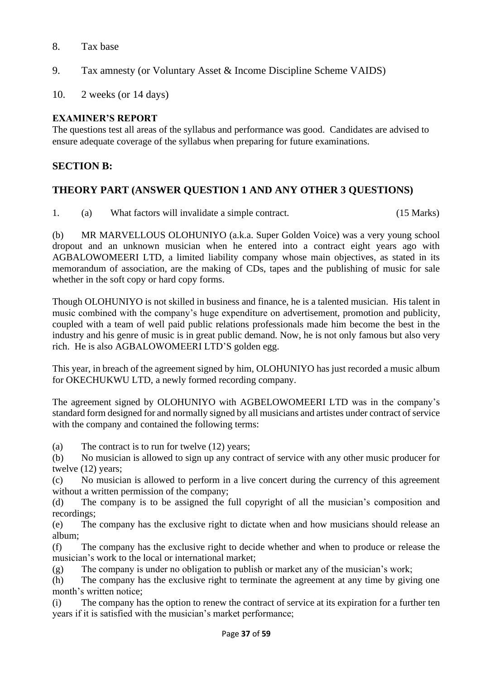## 8. Tax base

- 9. Tax amnesty (or Voluntary Asset & Income Discipline Scheme VAIDS)
- 10. 2 weeks (or 14 days)

# **EXAMINER'S REPORT**

The questions test all areas of the syllabus and performance was good. Candidates are advised to ensure adequate coverage of the syllabus when preparing for future examinations.

# **SECTION B:**

# **THEORY PART (ANSWER QUESTION 1 AND ANY OTHER 3 QUESTIONS)**

1. (a) What factors will invalidate a simple contract. (15 Marks)

(b) MR MARVELLOUS OLOHUNIYO (a.k.a. Super Golden Voice) was a very young school dropout and an unknown musician when he entered into a contract eight years ago with AGBALOWOMEERI LTD, a limited liability company whose main objectives, as stated in its memorandum of association, are the making of CDs, tapes and the publishing of music for sale whether in the soft copy or hard copy forms.

Though OLOHUNIYO is not skilled in business and finance, he is a talented musician. His talent in music combined with the company's huge expenditure on advertisement, promotion and publicity, coupled with a team of well paid public relations professionals made him become the best in the industry and his genre of music is in great public demand. Now, he is not only famous but also very rich. He is also AGBALOWOMEERI LTD'S golden egg.

This year, in breach of the agreement signed by him, OLOHUNIYO has just recorded a music album for OKECHUKWU LTD, a newly formed recording company.

The agreement signed by OLOHUNIYO with AGBELOWOMEERI LTD was in the company's standard form designed for and normally signed by all musicians and artistes under contract of service with the company and contained the following terms:

(a) The contract is to run for twelve (12) years;

(b) No musician is allowed to sign up any contract of service with any other music producer for twelve (12) years;

(c) No musician is allowed to perform in a live concert during the currency of this agreement without a written permission of the company;

(d) The company is to be assigned the full copyright of all the musician's composition and recordings;

(e) The company has the exclusive right to dictate when and how musicians should release an album;

(f) The company has the exclusive right to decide whether and when to produce or release the musician's work to the local or international market;

(g) The company is under no obligation to publish or market any of the musician's work;

(h) The company has the exclusive right to terminate the agreement at any time by giving one month's written notice;

(i) The company has the option to renew the contract of service at its expiration for a further ten years if it is satisfied with the musician's market performance;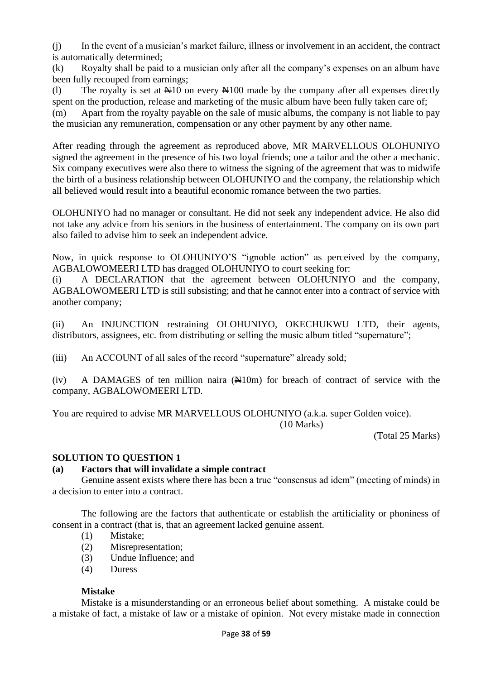(j) In the event of a musician's market failure, illness or involvement in an accident, the contract is automatically determined;

(k) Royalty shall be paid to a musician only after all the company's expenses on an album have been fully recouped from earnings;

(l) The royalty is set at  $\mathbb{H}10$  on every  $\mathbb{H}100$  made by the company after all expenses directly spent on the production, release and marketing of the music album have been fully taken care of;

(m) Apart from the royalty payable on the sale of music albums, the company is not liable to pay the musician any remuneration, compensation or any other payment by any other name.

After reading through the agreement as reproduced above, MR MARVELLOUS OLOHUNIYO signed the agreement in the presence of his two loyal friends; one a tailor and the other a mechanic. Six company executives were also there to witness the signing of the agreement that was to midwife the birth of a business relationship between OLOHUNIYO and the company, the relationship which all believed would result into a beautiful economic romance between the two parties.

OLOHUNIYO had no manager or consultant. He did not seek any independent advice. He also did not take any advice from his seniors in the business of entertainment. The company on its own part also failed to advise him to seek an independent advice.

Now, in quick response to OLOHUNIYO'S "ignoble action" as perceived by the company, AGBALOWOMEERI LTD has dragged OLOHUNIYO to court seeking for:

(i) A DECLARATION that the agreement between OLOHUNIYO and the company, AGBALOWOMEERI LTD is still subsisting; and that he cannot enter into a contract of service with another company;

(ii) An INJUNCTION restraining OLOHUNIYO, OKECHUKWU LTD, their agents, distributors, assignees, etc. from distributing or selling the music album titled "supernature";

(iii) An ACCOUNT of all sales of the record "supernature" already sold;

 $(iv)$  A DAMAGES of ten million naira  $(H10m)$  for breach of contract of service with the company, AGBALOWOMEERI LTD.

You are required to advise MR MARVELLOUS OLOHUNIYO (a.k.a. super Golden voice). (10 Marks)

(Total 25 Marks)

### **SOLUTION TO QUESTION 1**

### **(a) Factors that will invalidate a simple contract**

Genuine assent exists where there has been a true "consensus ad idem" (meeting of minds) in a decision to enter into a contract.

The following are the factors that authenticate or establish the artificiality or phoniness of consent in a contract (that is, that an agreement lacked genuine assent.

- (1) Mistake;
- (2) Misrepresentation;
- (3) Undue Influence; and
- (4) Duress

### **Mistake**

Mistake is a misunderstanding or an erroneous belief about something. A mistake could be a mistake of fact, a mistake of law or a mistake of opinion. Not every mistake made in connection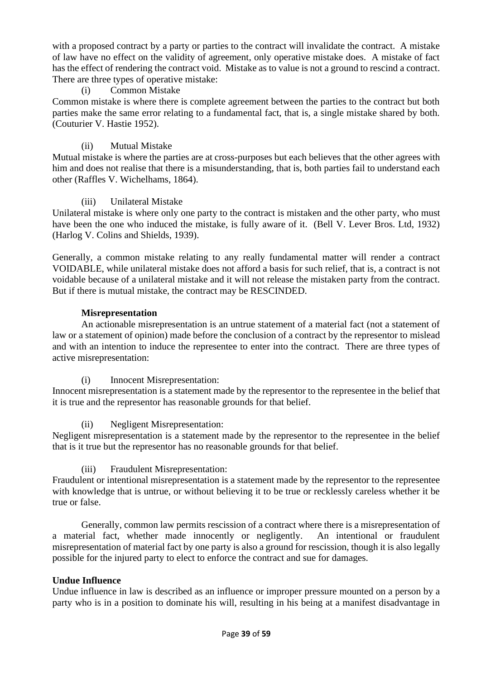with a proposed contract by a party or parties to the contract will invalidate the contract. A mistake of law have no effect on the validity of agreement, only operative mistake does. A mistake of fact has the effect of rendering the contract void. Mistake as to value is not a ground to rescind a contract. There are three types of operative mistake:

#### (i) Common Mistake

Common mistake is where there is complete agreement between the parties to the contract but both parties make the same error relating to a fundamental fact, that is, a single mistake shared by both. (Couturier V. Hastie 1952).

### (ii) Mutual Mistake

Mutual mistake is where the parties are at cross-purposes but each believes that the other agrees with him and does not realise that there is a misunderstanding, that is, both parties fail to understand each other (Raffles V. Wichelhams, 1864).

#### (iii) Unilateral Mistake

Unilateral mistake is where only one party to the contract is mistaken and the other party, who must have been the one who induced the mistake, is fully aware of it. (Bell V. Lever Bros. Ltd, 1932) (Harlog V. Colins and Shields, 1939).

Generally, a common mistake relating to any really fundamental matter will render a contract VOIDABLE, while unilateral mistake does not afford a basis for such relief, that is, a contract is not voidable because of a unilateral mistake and it will not release the mistaken party from the contract. But if there is mutual mistake, the contract may be RESCINDED.

#### **Misrepresentation**

An actionable misrepresentation is an untrue statement of a material fact (not a statement of law or a statement of opinion) made before the conclusion of a contract by the representor to mislead and with an intention to induce the representee to enter into the contract. There are three types of active misrepresentation:

(i) Innocent Misrepresentation:

Innocent misrepresentation is a statement made by the representor to the representee in the belief that it is true and the representor has reasonable grounds for that belief.

#### (ii) Negligent Misrepresentation:

Negligent misrepresentation is a statement made by the representor to the representee in the belief that is it true but the representor has no reasonable grounds for that belief.

#### (iii) Fraudulent Misrepresentation:

Fraudulent or intentional misrepresentation is a statement made by the representor to the representee with knowledge that is untrue, or without believing it to be true or recklessly careless whether it be true or false.

Generally, common law permits rescission of a contract where there is a misrepresentation of a material fact, whether made innocently or negligently. An intentional or fraudulent misrepresentation of material fact by one party is also a ground for rescission, though it is also legally possible for the injured party to elect to enforce the contract and sue for damages.

### **Undue Influence**

Undue influence in law is described as an influence or improper pressure mounted on a person by a party who is in a position to dominate his will, resulting in his being at a manifest disadvantage in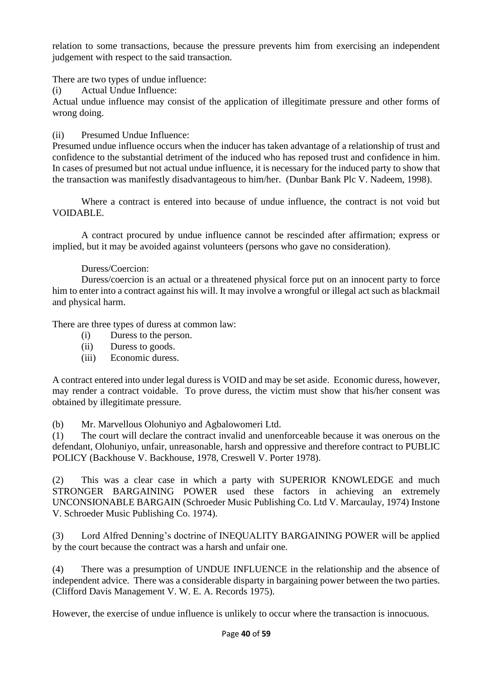relation to some transactions, because the pressure prevents him from exercising an independent judgement with respect to the said transaction.

There are two types of undue influence:

(i) Actual Undue Influence:

Actual undue influence may consist of the application of illegitimate pressure and other forms of wrong doing.

(ii) Presumed Undue Influence:

Presumed undue influence occurs when the inducer has taken advantage of a relationship of trust and confidence to the substantial detriment of the induced who has reposed trust and confidence in him. In cases of presumed but not actual undue influence, it is necessary for the induced party to show that the transaction was manifestly disadvantageous to him/her. (Dunbar Bank Plc V. Nadeem, 1998).

Where a contract is entered into because of undue influence, the contract is not void but VOIDABLE.

A contract procured by undue influence cannot be rescinded after affirmation; express or implied, but it may be avoided against volunteers (persons who gave no consideration).

### Duress/Coercion:

Duress/coercion is an actual or a threatened physical force put on an innocent party to force him to enter into a contract against his will. It may involve a wrongful or illegal act such as blackmail and physical harm.

There are three types of duress at common law:

- (i) Duress to the person.
- (ii) Duress to goods.
- (iii) Economic duress.

A contract entered into under legal duress is VOID and may be set aside. Economic duress, however, may render a contract voidable. To prove duress, the victim must show that his/her consent was obtained by illegitimate pressure.

(b) Mr. Marvellous Olohuniyo and Agbalowomeri Ltd.

(1) The court will declare the contract invalid and unenforceable because it was onerous on the defendant, Olohuniyo, unfair, unreasonable, harsh and oppressive and therefore contract to PUBLIC POLICY (Backhouse V. Backhouse, 1978, Creswell V. Porter 1978).

(2) This was a clear case in which a party with SUPERIOR KNOWLEDGE and much STRONGER BARGAINING POWER used these factors in achieving an extremely UNCONSIONABLE BARGAIN (Schroeder Music Publishing Co. Ltd V. Marcaulay, 1974) Instone V. Schroeder Music Publishing Co. 1974).

(3) Lord Alfred Denning's doctrine of INEQUALITY BARGAINING POWER will be applied by the court because the contract was a harsh and unfair one.

(4) There was a presumption of UNDUE INFLUENCE in the relationship and the absence of independent advice. There was a considerable disparty in bargaining power between the two parties. (Clifford Davis Management V. W. E. A. Records 1975).

However, the exercise of undue influence is unlikely to occur where the transaction is innocuous.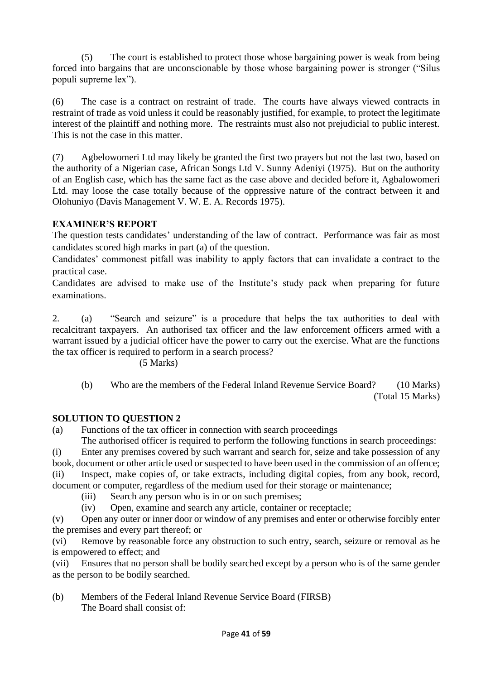(5) The court is established to protect those whose bargaining power is weak from being forced into bargains that are unconscionable by those whose bargaining power is stronger ("Silus populi supreme lex").

(6) The case is a contract on restraint of trade. The courts have always viewed contracts in restraint of trade as void unless it could be reasonably justified, for example, to protect the legitimate interest of the plaintiff and nothing more. The restraints must also not prejudicial to public interest. This is not the case in this matter.

(7) Agbelowomeri Ltd may likely be granted the first two prayers but not the last two, based on the authority of a Nigerian case, African Songs Ltd V. Sunny Adeniyi (1975). But on the authority of an English case, which has the same fact as the case above and decided before it, Agbalowomeri Ltd. may loose the case totally because of the oppressive nature of the contract between it and Olohuniyo (Davis Management V. W. E. A. Records 1975).

### **EXAMINER'S REPORT**

The question tests candidates' understanding of the law of contract. Performance was fair as most candidates scored high marks in part (a) of the question.

Candidates' commonest pitfall was inability to apply factors that can invalidate a contract to the practical case.

Candidates are advised to make use of the Institute's study pack when preparing for future examinations.

2. (a) "Search and seizure" is a procedure that helps the tax authorities to deal with recalcitrant taxpayers. An authorised tax officer and the law enforcement officers armed with a warrant issued by a judicial officer have the power to carry out the exercise. What are the functions the tax officer is required to perform in a search process?

### (5 Marks)

(b) Who are the members of the Federal Inland Revenue Service Board? (10 Marks) (Total 15 Marks)

### **SOLUTION TO QUESTION 2**

(a) Functions of the tax officer in connection with search proceedings

The authorised officer is required to perform the following functions in search proceedings:

(i) Enter any premises covered by such warrant and search for, seize and take possession of any book, document or other article used or suspected to have been used in the commission of an offence; (ii) Inspect, make copies of, or take extracts, including digital copies, from any book, record,

document or computer, regardless of the medium used for their storage or maintenance;

- (iii) Search any person who is in or on such premises;
- (iv) Open, examine and search any article, container or receptacle;

(v) Open any outer or inner door or window of any premises and enter or otherwise forcibly enter the premises and every part thereof; or

(vi) Remove by reasonable force any obstruction to such entry, search, seizure or removal as he is empowered to effect; and

(vii) Ensures that no person shall be bodily searched except by a person who is of the same gender as the person to be bodily searched.

(b) Members of the Federal Inland Revenue Service Board (FIRSB) The Board shall consist of: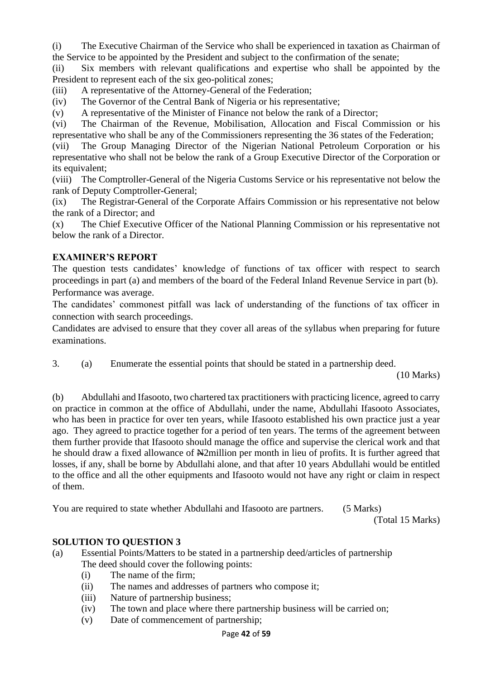(i) The Executive Chairman of the Service who shall be experienced in taxation as Chairman of the Service to be appointed by the President and subject to the confirmation of the senate;

(ii) Six members with relevant qualifications and expertise who shall be appointed by the President to represent each of the six geo-political zones;

(iii) A representative of the Attorney-General of the Federation;

(iv) The Governor of the Central Bank of Nigeria or his representative;

(v) A representative of the Minister of Finance not below the rank of a Director;

(vi) The Chairman of the Revenue, Mobilisation, Allocation and Fiscal Commission or his representative who shall be any of the Commissioners representing the 36 states of the Federation;

(vii) The Group Managing Director of the Nigerian National Petroleum Corporation or his representative who shall not be below the rank of a Group Executive Director of the Corporation or its equivalent;

(viii) The Comptroller-General of the Nigeria Customs Service or his representative not below the rank of Deputy Comptroller-General;

(ix) The Registrar-General of the Corporate Affairs Commission or his representative not below the rank of a Director; and

(x) The Chief Executive Officer of the National Planning Commission or his representative not below the rank of a Director.

## **EXAMINER'S REPORT**

The question tests candidates' knowledge of functions of tax officer with respect to search proceedings in part (a) and members of the board of the Federal Inland Revenue Service in part (b). Performance was average.

The candidates' commonest pitfall was lack of understanding of the functions of tax officer in connection with search proceedings.

Candidates are advised to ensure that they cover all areas of the syllabus when preparing for future examinations.

3. (a) Enumerate the essential points that should be stated in a partnership deed.

(10 Marks)

(b) Abdullahi and Ifasooto, two chartered tax practitioners with practicing licence, agreed to carry on practice in common at the office of Abdullahi, under the name, Abdullahi Ifasooto Associates, who has been in practice for over ten years, while Ifasooto established his own practice just a year ago. They agreed to practice together for a period of ten years. The terms of the agreement between them further provide that Ifasooto should manage the office and supervise the clerical work and that he should draw a fixed allowance of  $\frac{12}{2}$ million per month in lieu of profits. It is further agreed that losses, if any, shall be borne by Abdullahi alone, and that after 10 years Abdullahi would be entitled to the office and all the other equipments and Ifasooto would not have any right or claim in respect of them.

You are required to state whether Abdullahi and Ifasooto are partners. (5 Marks)

(Total 15 Marks)

# **SOLUTION TO QUESTION 3**

- (a) Essential Points/Matters to be stated in a partnership deed/articles of partnership The deed should cover the following points:
	- (i) The name of the firm;
	- (ii) The names and addresses of partners who compose it;
	- (iii) Nature of partnership business;
	- (iv) The town and place where there partnership business will be carried on;
	- (v) Date of commencement of partnership;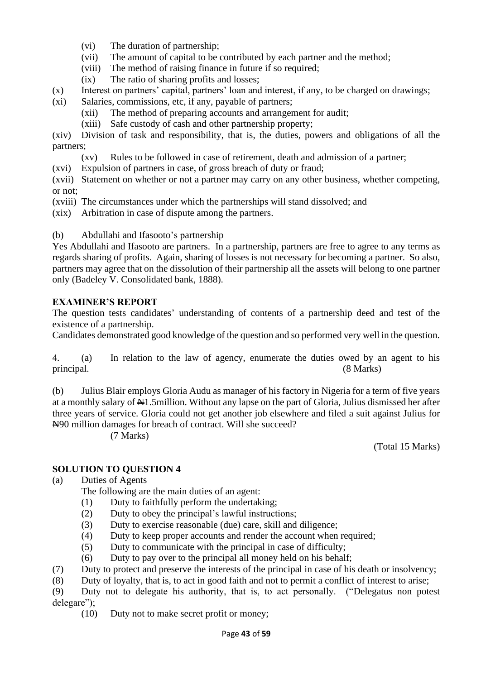- (vi) The duration of partnership;
- (vii) The amount of capital to be contributed by each partner and the method;
- (viii) The method of raising finance in future if so required;
- (ix) The ratio of sharing profits and losses;
- (x) Interest on partners' capital, partners' loan and interest, if any, to be charged on drawings;
- (xi) Salaries, commissions, etc, if any, payable of partners;
	- (xii) The method of preparing accounts and arrangement for audit;
	- (xiii) Safe custody of cash and other partnership property;

(xiv) Division of task and responsibility, that is, the duties, powers and obligations of all the partners;

- (xv) Rules to be followed in case of retirement, death and admission of a partner;
- (xvi) Expulsion of partners in case, of gross breach of duty or fraud;

(xvii) Statement on whether or not a partner may carry on any other business, whether competing, or not;

(xviii) The circumstances under which the partnerships will stand dissolved; and

(xix) Arbitration in case of dispute among the partners.

#### (b) Abdullahi and Ifasooto's partnership

Yes Abdullahi and Ifasooto are partners. In a partnership, partners are free to agree to any terms as regards sharing of profits. Again, sharing of losses is not necessary for becoming a partner. So also, partners may agree that on the dissolution of their partnership all the assets will belong to one partner only (Badeley V. Consolidated bank, 1888).

#### **EXAMINER'S REPORT**

The question tests candidates' understanding of contents of a partnership deed and test of the existence of a partnership.

Candidates demonstrated good knowledge of the question and so performed very well in the question.

4. (a) In relation to the law of agency, enumerate the duties owed by an agent to his principal. (8 Marks)

(b) Julius Blair employs Gloria Audu as manager of his factory in Nigeria for a term of five years at a monthly salary of  $\mathbb{H}1.5$ million. Without any lapse on the part of Gloria, Julius dismissed her after three years of service. Gloria could not get another job elsewhere and filed a suit against Julius for N90 million damages for breach of contract. Will she succeed?

(7 Marks)

(Total 15 Marks)

### **SOLUTION TO QUESTION 4**

(a) Duties of Agents

- The following are the main duties of an agent:
- (1) Duty to faithfully perform the undertaking;
- (2) Duty to obey the principal's lawful instructions;
- (3) Duty to exercise reasonable (due) care, skill and diligence;
- (4) Duty to keep proper accounts and render the account when required;
- (5) Duty to communicate with the principal in case of difficulty;
- (6) Duty to pay over to the principal all money held on his behalf;
- (7) Duty to protect and preserve the interests of the principal in case of his death or insolvency;
- (8) Duty of loyalty, that is, to act in good faith and not to permit a conflict of interest to arise;

(9) Duty not to delegate his authority, that is, to act personally. ("Delegatus non potest delegare");

(10) Duty not to make secret profit or money;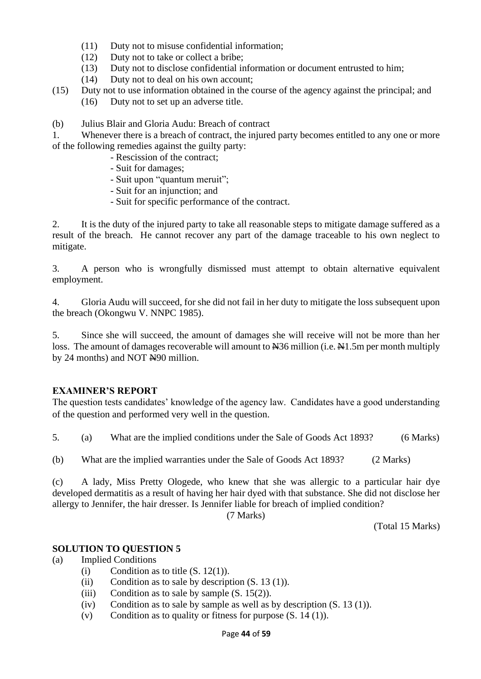- (11) Duty not to misuse confidential information;
- (12) Duty not to take or collect a bribe;
- (13) Duty not to disclose confidential information or document entrusted to him;
- (14) Duty not to deal on his own account;
- (15) Duty not to use information obtained in the course of the agency against the principal; and (16) Duty not to set up an adverse title.

(b) Julius Blair and Gloria Audu: Breach of contract

1. Whenever there is a breach of contract, the injured party becomes entitled to any one or more of the following remedies against the guilty party:

- Rescission of the contract;
- Suit for damages;
- Suit upon "quantum meruit";
- Suit for an injunction; and
- Suit for specific performance of the contract.

2. It is the duty of the injured party to take all reasonable steps to mitigate damage suffered as a result of the breach. He cannot recover any part of the damage traceable to his own neglect to mitigate.

3. A person who is wrongfully dismissed must attempt to obtain alternative equivalent employment.

4. Gloria Audu will succeed, for she did not fail in her duty to mitigate the loss subsequent upon the breach (Okongwu V. NNPC 1985).

5. Since she will succeed, the amount of damages she will receive will not be more than her loss. The amount of damages recoverable will amount to  $\frac{136}{100}$  million (i.e.  $\frac{11}{5}$  m per month multiply by 24 months) and NOT N90 million.

### **EXAMINER'S REPORT**

The question tests candidates' knowledge of the agency law. Candidates have a good understanding of the question and performed very well in the question.

5. (a) What are the implied conditions under the Sale of Goods Act 1893? (6 Marks)

(b) What are the implied warranties under the Sale of Goods Act 1893? (2 Marks)

(c) A lady, Miss Pretty Ologede, who knew that she was allergic to a particular hair dye developed dermatitis as a result of having her hair dyed with that substance. She did not disclose her allergy to Jennifer, the hair dresser. Is Jennifer liable for breach of implied condition?

(7 Marks)

(Total 15 Marks)

#### **SOLUTION TO QUESTION 5**

(a) Implied Conditions

- (i) Condition as to title  $(S. 12(1))$ .
- (ii) Condition as to sale by description  $(S. 13(1))$ .
- (iii) Condition as to sale by sample  $(S. 15(2))$ .
- (iv) Condition as to sale by sample as well as by description  $(S. 13(1))$ .
- (v) Condition as to quality or fitness for purpose  $(S. 14 (1))$ .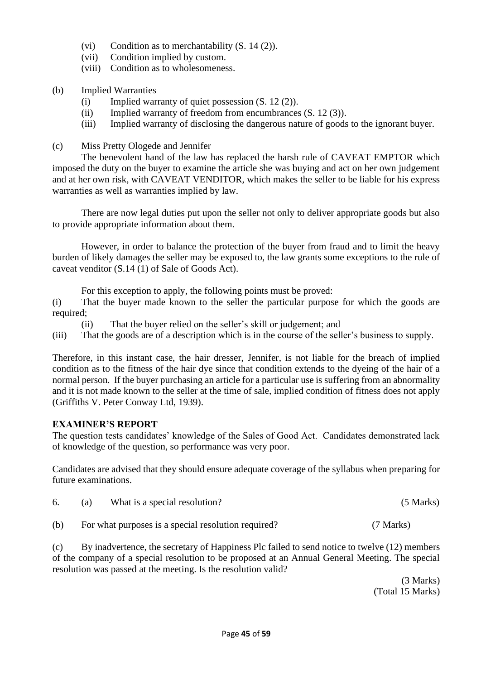- (vi) Condition as to merchantability (S. 14 (2)).
- (vii) Condition implied by custom.
- (viii) Condition as to wholesomeness.
- (b) Implied Warranties
	- (i) Implied warranty of quiet possession (S. 12 (2)).
	- (ii) Implied warranty of freedom from encumbrances (S. 12 (3)).
	- (iii) Implied warranty of disclosing the dangerous nature of goods to the ignorant buyer.
- (c) Miss Pretty Ologede and Jennifer

The benevolent hand of the law has replaced the harsh rule of CAVEAT EMPTOR which imposed the duty on the buyer to examine the article she was buying and act on her own judgement and at her own risk, with CAVEAT VENDITOR, which makes the seller to be liable for his express warranties as well as warranties implied by law.

There are now legal duties put upon the seller not only to deliver appropriate goods but also to provide appropriate information about them.

However, in order to balance the protection of the buyer from fraud and to limit the heavy burden of likely damages the seller may be exposed to, the law grants some exceptions to the rule of caveat venditor (S.14 (1) of Sale of Goods Act).

For this exception to apply, the following points must be proved:

(i) That the buyer made known to the seller the particular purpose for which the goods are required;

(ii) That the buyer relied on the seller's skill or judgement; and

(iii) That the goods are of a description which is in the course of the seller's business to supply.

Therefore, in this instant case, the hair dresser, Jennifer, is not liable for the breach of implied condition as to the fitness of the hair dye since that condition extends to the dyeing of the hair of a normal person. If the buyer purchasing an article for a particular use is suffering from an abnormality and it is not made known to the seller at the time of sale, implied condition of fitness does not apply (Griffiths V. Peter Conway Ltd, 1939).

# **EXAMINER'S REPORT**

The question tests candidates' knowledge of the Sales of Good Act. Candidates demonstrated lack of knowledge of the question, so performance was very poor.

Candidates are advised that they should ensure adequate coverage of the syllabus when preparing for future examinations.

|     | What is a special resolution?                       | $(5$ Marks) |
|-----|-----------------------------------------------------|-------------|
| (b) | For what purposes is a special resolution required? | (7 Marks)   |

(c) By inadvertence, the secretary of Happiness Plc failed to send notice to twelve (12) members of the company of a special resolution to be proposed at an Annual General Meeting. The special resolution was passed at the meeting. Is the resolution valid?

> (3 Marks) (Total 15 Marks)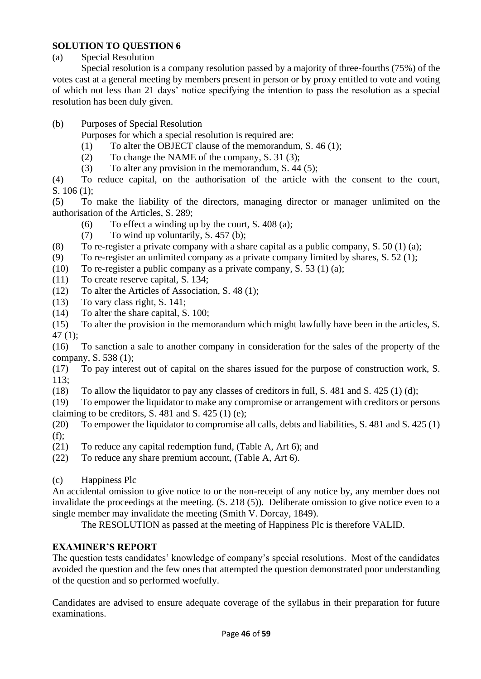(a) Special Resolution

Special resolution is a company resolution passed by a majority of three-fourths (75%) of the votes cast at a general meeting by members present in person or by proxy entitled to vote and voting of which not less than 21 days' notice specifying the intention to pass the resolution as a special resolution has been duly given.

(b) Purposes of Special Resolution

Purposes for which a special resolution is required are:

- (1) To alter the OBJECT clause of the memorandum, S. 46 (1);
- (2) To change the NAME of the company, S. 31 (3);
- (3) To alter any provision in the memorandum, S. 44 (5);

(4) To reduce capital, on the authorisation of the article with the consent to the court, S. 106 (1);

(5) To make the liability of the directors, managing director or manager unlimited on the authorisation of the Articles, S. 289;

- (6) To effect a winding up by the court, S. 408 (a);
- (7) To wind up voluntarily, S. 457 (b);
- (8) To re-register a private company with a share capital as a public company, S. 50 (1) (a);
- (9) To re-register an unlimited company as a private company limited by shares, S. 52 (1);
- (10) To re-register a public company as a private company, S. 53 (1) (a);
- (11) To create reserve capital, S. 134;
- (12) To alter the Articles of Association, S. 48 (1);
- (13) To vary class right, S. 141;
- (14) To alter the share capital, S. 100;

(15) To alter the provision in the memorandum which might lawfully have been in the articles, S. 47 (1);

(16) To sanction a sale to another company in consideration for the sales of the property of the company, S. 538 (1);

(17) To pay interest out of capital on the shares issued for the purpose of construction work, S. 113;

(18) To allow the liquidator to pay any classes of creditors in full, S. 481 and S. 425 (1) (d);

(19) To empower the liquidator to make any compromise or arrangement with creditors or persons claiming to be creditors, S. 481 and S. 425 (1) (e);

(20) To empower the liquidator to compromise all calls, debts and liabilities, S. 481 and S. 425 (1) (f);

(21) To reduce any capital redemption fund, (Table A, Art 6); and

(22) To reduce any share premium account, (Table A, Art 6).

(c) Happiness Plc

An accidental omission to give notice to or the non-receipt of any notice by, any member does not invalidate the proceedings at the meeting. (S. 218 (5)). Deliberate omission to give notice even to a single member may invalidate the meeting (Smith V. Dorcay, 1849).

The RESOLUTION as passed at the meeting of Happiness Plc is therefore VALID.

# **EXAMINER'S REPORT**

The question tests candidates' knowledge of company's special resolutions. Most of the candidates avoided the question and the few ones that attempted the question demonstrated poor understanding of the question and so performed woefully.

Candidates are advised to ensure adequate coverage of the syllabus in their preparation for future examinations.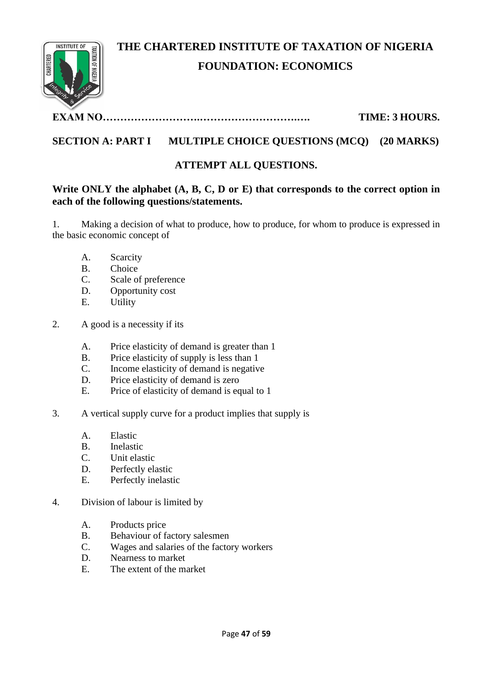

# **THE CHARTERED INSTITUTE OF TAXATION OF NIGERIA FOUNDATION: ECONOMICS**

# **EXAM NO……………………….……………………….…. TIME: 3 HOURS.**

# **SECTION A: PART I MULTIPLE CHOICE QUESTIONS (MCQ) (20 MARKS)**

# **ATTEMPT ALL QUESTIONS.**

# **Write ONLY the alphabet (A, B, C, D or E) that corresponds to the correct option in each of the following questions/statements.**

1. Making a decision of what to produce, how to produce, for whom to produce is expressed in the basic economic concept of

- A. Scarcity
- B. Choice
- C. Scale of preference
- D. Opportunity cost
- E. Utility
- 2. A good is a necessity if its
	- A. Price elasticity of demand is greater than 1
	- B. Price elasticity of supply is less than 1
	- C. Income elasticity of demand is negative
	- D. Price elasticity of demand is zero
	- E. Price of elasticity of demand is equal to 1
- 3. A vertical supply curve for a product implies that supply is
	- A. Elastic
	- B. Inelastic
	- C. Unit elastic
	- D. Perfectly elastic
	- E. Perfectly inelastic
- 4. Division of labour is limited by
	- A. Products price
	- B. Behaviour of factory salesmen
	- C. Wages and salaries of the factory workers
	- D. Nearness to market
	- E. The extent of the market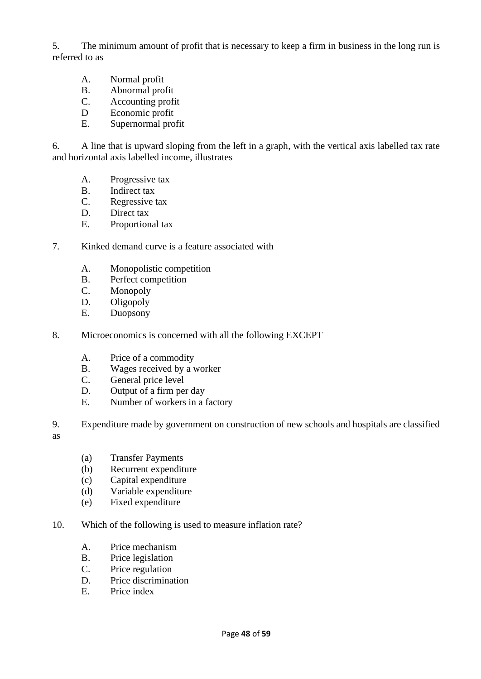5. The minimum amount of profit that is necessary to keep a firm in business in the long run is referred to as

- A. Normal profit
- B. Abnormal profit
- C. Accounting profit
- D Economic profit
- E. Supernormal profit

6. A line that is upward sloping from the left in a graph, with the vertical axis labelled tax rate and horizontal axis labelled income, illustrates

- A. Progressive tax
- B. Indirect tax
- C. Regressive tax
- D. Direct tax
- E. Proportional tax
- 7. Kinked demand curve is a feature associated with
	- A. Monopolistic competition
	- B. Perfect competition
	- C. Monopoly
	- D. Oligopoly
	- E. Duopsony
- 8. Microeconomics is concerned with all the following EXCEPT
	- A. Price of a commodity
	- B. Wages received by a worker
	- C. General price level
	- D. Output of a firm per day
	- E. Number of workers in a factory
- 9. Expenditure made by government on construction of new schools and hospitals are classified
- as
- (a) Transfer Payments
- (b) Recurrent expenditure
- (c) Capital expenditure
- (d) Variable expenditure
- (e) Fixed expenditure
- 10. Which of the following is used to measure inflation rate?
	- A. Price mechanism
	- B. Price legislation
	- C. Price regulation
	- D. Price discrimination
	- E. Price index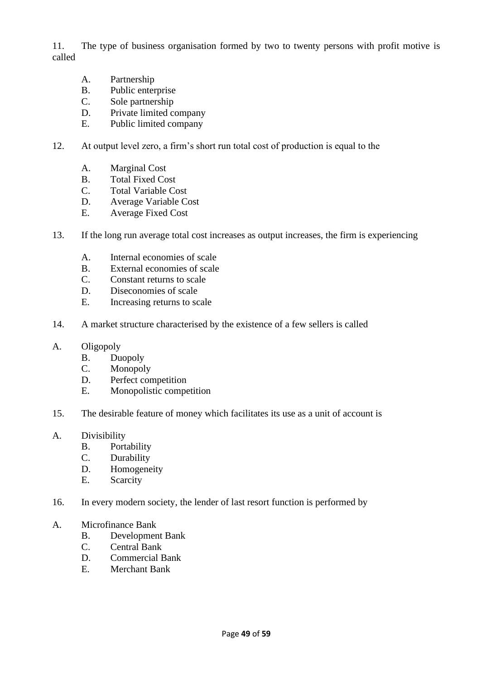11. The type of business organisation formed by two to twenty persons with profit motive is called

- A. Partnership
- B. Public enterprise
- C. Sole partnership
- D. Private limited company
- E. Public limited company
- 12. At output level zero, a firm's short run total cost of production is equal to the
	- A. Marginal Cost
	- B. Total Fixed Cost
	- C. Total Variable Cost
	- D. Average Variable Cost
	- E. Average Fixed Cost
- 13. If the long run average total cost increases as output increases, the firm is experiencing
	- A. Internal economies of scale
	- B. External economies of scale
	- C. Constant returns to scale
	- D. Diseconomies of scale
	- E. Increasing returns to scale
- 14. A market structure characterised by the existence of a few sellers is called
- A. Oligopoly
	- B. Duopoly
	- C. Monopoly
	- D. Perfect competition
	- E. Monopolistic competition
- 15. The desirable feature of money which facilitates its use as a unit of account is
- A. Divisibility
	- B. Portability
	- C. Durability
	- D. Homogeneity
	- E. Scarcity
- 16. In every modern society, the lender of last resort function is performed by
- A. Microfinance Bank
	- B. Development Bank
	- C. Central Bank
	- D. Commercial Bank
	- E. Merchant Bank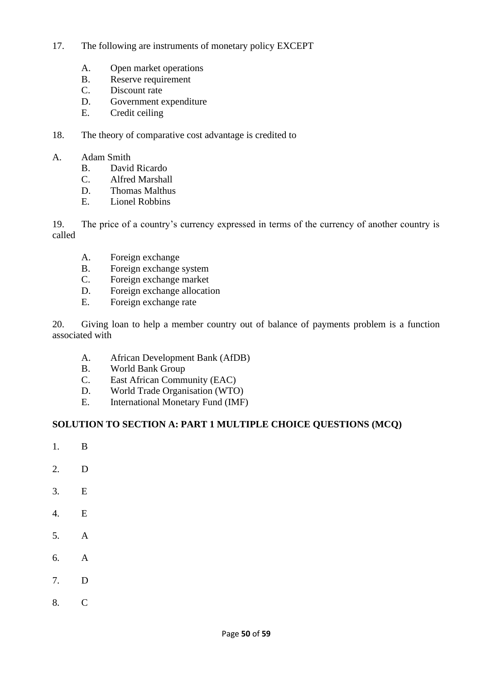- 17. The following are instruments of monetary policy EXCEPT
	- A. Open market operations
	- B. Reserve requirement
	- C. Discount rate
	- D. Government expenditure
	- E. Credit ceiling
- 18. The theory of comparative cost advantage is credited to
- A. Adam Smith
	- B. David Ricardo
	- C. Alfred Marshall
	- D. Thomas Malthus
	- E. Lionel Robbins

19. The price of a country's currency expressed in terms of the currency of another country is called

- A. Foreign exchange
- B. Foreign exchange system
- C. Foreign exchange market
- D. Foreign exchange allocation
- E. Foreign exchange rate

20. Giving loan to help a member country out of balance of payments problem is a function associated with

- A. African Development Bank (AfDB)
- B. World Bank Group
- C. East African Community (EAC)
- D. World Trade Organisation (WTO)<br>E. International Monetary Fund (IMF
- International Monetary Fund (IMF)

#### **SOLUTION TO SECTION A: PART 1 MULTIPLE CHOICE QUESTIONS (MCQ)**

- 1. B
- 2. D
- 3. E
- 4. E
- 5. A
- 6. A
- 7. D
- 8. C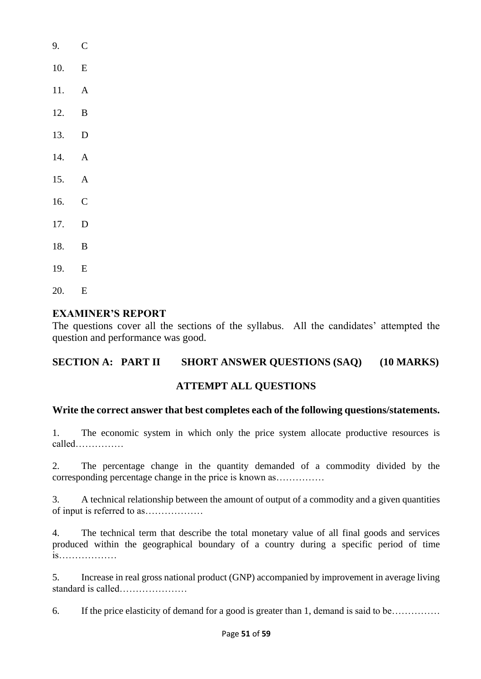| 9.    | $\mathsf{C}$   |
|-------|----------------|
| 10.   | E              |
| 11. A |                |
| 12.   | B              |
| 13.   | D              |
| 14.   | A              |
| 15.   | $\overline{A}$ |
| 16.   | $\overline{C}$ |
| 17.   | D              |
| 18.   | B              |
| 19.   | E              |
| 20.   | E              |

## **EXAMINER'S REPORT**

The questions cover all the sections of the syllabus. All the candidates' attempted the question and performance was good.

# **SECTION A: PART II SHORT ANSWER QUESTIONS (SAQ) (10 MARKS)**

### **ATTEMPT ALL QUESTIONS**

### **Write the correct answer that best completes each of the following questions/statements.**

1. The economic system in which only the price system allocate productive resources is called……………

2. The percentage change in the quantity demanded of a commodity divided by the corresponding percentage change in the price is known as……………

3. A technical relationship between the amount of output of a commodity and a given quantities of input is referred to as………………

4. The technical term that describe the total monetary value of all final goods and services produced within the geographical boundary of a country during a specific period of time is………………

5. Increase in real gross national product (GNP) accompanied by improvement in average living standard is called…………………

6. If the price elasticity of demand for a good is greater than 1, demand is said to be……………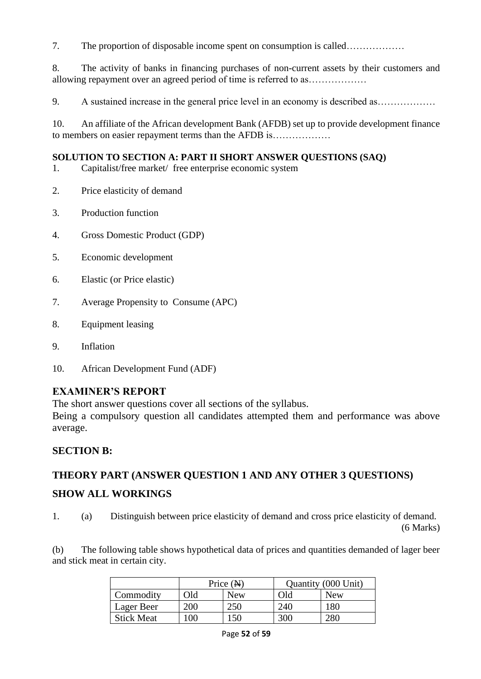7. The proportion of disposable income spent on consumption is called………………

8. The activity of banks in financing purchases of non-current assets by their customers and allowing repayment over an agreed period of time is referred to as………………

9. A sustained increase in the general price level in an economy is described as………………

10. An affiliate of the African development Bank (AFDB) set up to provide development finance to members on easier repayment terms than the AFDB is………………

### **SOLUTION TO SECTION A: PART II SHORT ANSWER QUESTIONS (SAQ)**

- 1. Capitalist/free market/ free enterprise economic system
- 2. Price elasticity of demand
- 3. Production function
- 4. Gross Domestic Product (GDP)
- 5. Economic development
- 6. Elastic (or Price elastic)
- 7. Average Propensity to Consume (APC)
- 8. Equipment leasing
- 9. Inflation
- 10. African Development Fund (ADF)

# **EXAMINER'S REPORT**

The short answer questions cover all sections of the syllabus.

Being a compulsory question all candidates attempted them and performance was above average.

# **SECTION B:**

# **THEORY PART (ANSWER QUESTION 1 AND ANY OTHER 3 QUESTIONS)**

# **SHOW ALL WORKINGS**

1. (a) Distinguish between price elasticity of demand and cross price elasticity of demand.

(6 Marks)

(b) The following table shows hypothetical data of prices and quantities demanded of lager beer and stick meat in certain city.

|                   | Price $(N)$ |            | Quantity (000 Unit) |            |
|-------------------|-------------|------------|---------------------|------------|
| Commodity         | Эld         | <b>New</b> | Old                 | <b>New</b> |
| Lager Beer        | 200         |            | 240                 | 180        |
| <b>Stick Meat</b> | 00          | 150        | 300                 | 280        |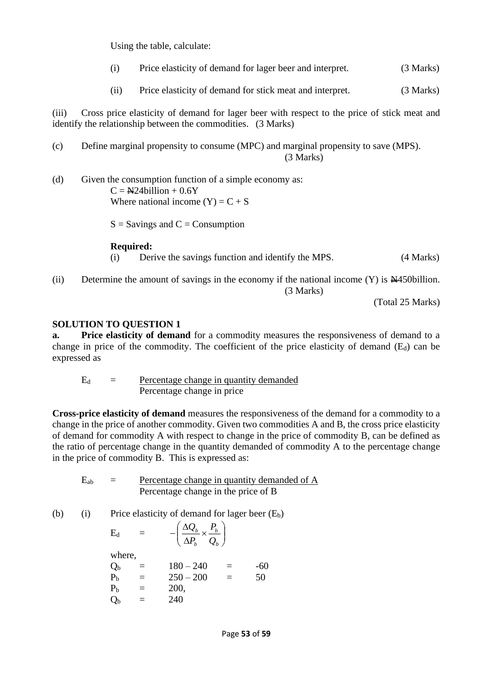Using the table, calculate:

- (i) Price elasticity of demand for lager beer and interpret. (3 Marks)
- (ii) Price elasticity of demand for stick meat and interpret. (3 Marks)

(iii) Cross price elasticity of demand for lager beer with respect to the price of stick meat and identify the relationship between the commodities. (3 Marks)

(c) Define marginal propensity to consume (MPC) and marginal propensity to save (MPS). (3 Marks)

(d) Given the consumption function of a simple economy as:  $C = N24$ billion + 0.6Y Where national income  $(Y) = C + S$ 

 $S =$  Savings and  $C =$  Consumption

#### **Required:**

(i) Derive the savings function and identify the MPS. (4 Marks)

(ii) Determine the amount of savings in the economy if the national income  $(Y)$  is  $\cancel{\text{A450billion}}$ . (3 Marks)

(Total 25 Marks)

#### **SOLUTION TO QUESTION 1**

**a. Price elasticity of demand** for a commodity measures the responsiveness of demand to a change in price of the commodity. The coefficient of the price elasticity of demand  $(E_d)$  can be expressed as

 $E_d$  = Percentage change in quantity demanded Percentage change in price

**Cross-price elasticity of demand** measures the responsiveness of the demand for a commodity to a change in the price of another commodity. Given two commodities A and B, the cross price elasticity of demand for commodity A with respect to change in the price of commodity B, can be defined as the ratio of percentage change in the quantity demanded of commodity A to the percentage change in the price of commodity B. This is expressed as:

 $E_{ab}$  = Percentage change in quantity demanded of A Percentage change in the price of B

 $\backslash$ 

*b*

*Q P*

(b) (i) Price elasticity of demand for lager beer 
$$
(E_b)
$$

 $\overline{\phantom{a}}$ L

 $E_d$  =  $-\left(\frac{\Delta Q_b}{\Delta P_b} \times \frac{P_b}{Q_b}\right)$ where,

| $Q_{\rm b}$    | $=$ | $180 - 240$ | $=$ | -60 |
|----------------|-----|-------------|-----|-----|
| $\rm P_{b}$    | $=$ | $250 - 200$ | $=$ | 50  |
| $\rm P_{b}$    | $=$ | 200,        |     |     |
| Q <sub>b</sub> | $=$ | 240         |     |     |
|                |     |             |     |     |

 $\Big(\dfrac{\Delta Q_{b}}{\Delta P}\times$  $-\bigg(\frac{\Delta Q_{\scriptscriptstyle b}}{\Delta P_{\scriptscriptstyle b}}\!\times\!\frac{P_{\scriptscriptstyle b}}{Q_{\scriptscriptstyle b}}$ 

*P Q*

*b b*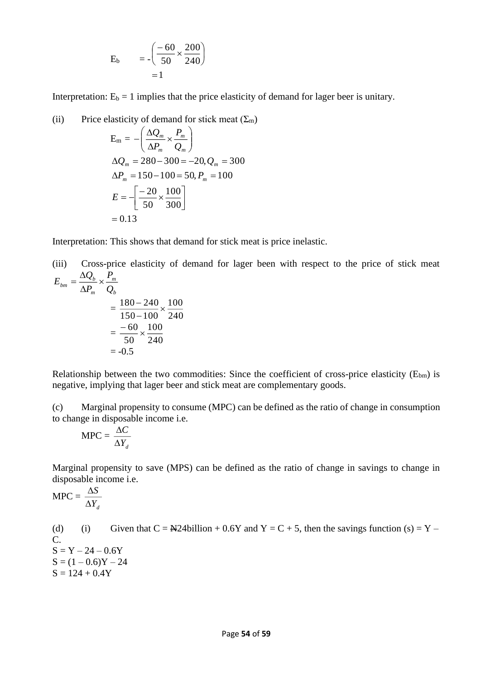$$
E_b = -\left(\frac{-60}{50} \times \frac{200}{240}\right) = 1
$$

Interpretation:  $E_b = 1$  implies that the price elasticity of demand for lager beer is unitary.

(ii) Price elasticity of demand for stick meat  $(\Sigma_m)$ 

$$
E_m = -\left(\frac{\Delta Q_m}{\Delta P_m} \times \frac{P_m}{Q_m}\right)
$$
  
\n
$$
\Delta Q_m = 280 - 300 = -20, Q_m = 300
$$
  
\n
$$
\Delta P_m = 150 - 100 = 50, P_m = 100
$$
  
\n
$$
E = -\left[\frac{-20}{50} \times \frac{100}{300}\right]
$$
  
\n= 0.13

Interpretation: This shows that demand for stick meat is price inelastic.

(iii) Cross-price elasticity of demand for lager been with respect to the price of stick meat  $E_{bm} = \frac{\Delta Q_b}{\Delta R} \times \frac{P_m}{R}$ =

$$
E_{bm} = \frac{180 - 240}{\Delta P_m} \times \frac{100}{Q_b}
$$
  
= 
$$
\frac{180 - 240}{150 - 100} \times \frac{100}{240}
$$
  
= 
$$
\frac{-60}{50} \times \frac{100}{240}
$$
  
= -0.5

Relationship between the two commodities: Since the coefficient of cross-price elasticity ( $E_{bm}$ ) is negative, implying that lager beer and stick meat are complementary goods.

(c) Marginal propensity to consume (MPC) can be defined as the ratio of change in consumption to change in disposable income i.e.

$$
MPC = \frac{\Delta C}{\Delta Y_d}
$$

Marginal propensity to save (MPS) can be defined as the ratio of change in savings to change in disposable income i.e.

 $MPC =$ *Yd S* Δ Δ

(d) (i) Given that  $C = \frac{N24 \text{billion}}{100} + 0.6Y$  and  $Y = C + 5$ , then the savings function (s) = Y – C.  $S = Y - 24 - 0.6Y$  $S = (1 - 0.6)Y - 24$  $S = 124 + 0.4Y$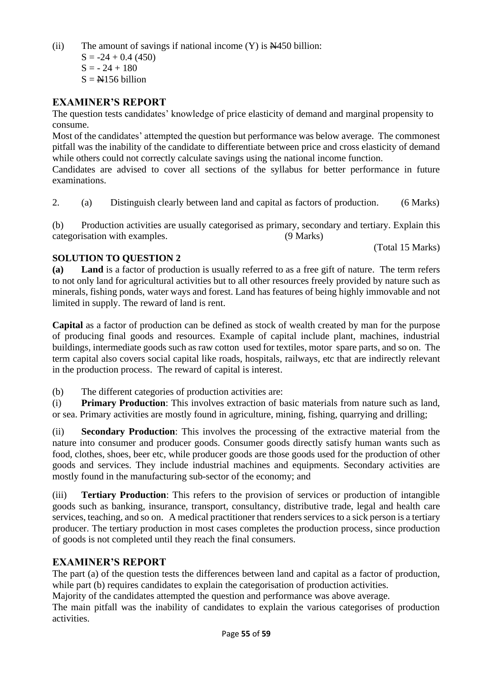(ii) The amount of savings if national income  $(Y)$  is  $\cancel{\text{N}}$ 450 billion:

 $S = -24 + 0.4$  (450)  $S = -24 + 180$ 

 $S = N156$  billion

## **EXAMINER'S REPORT**

The question tests candidates' knowledge of price elasticity of demand and marginal propensity to consume.

Most of the candidates' attempted the question but performance was below average. The commonest pitfall was the inability of the candidate to differentiate between price and cross elasticity of demand while others could not correctly calculate savings using the national income function.

Candidates are advised to cover all sections of the syllabus for better performance in future examinations.

2. (a) Distinguish clearly between land and capital as factors of production. (6 Marks)

(b) Production activities are usually categorised as primary, secondary and tertiary. Explain this categorisation with examples. (9 Marks)

(Total 15 Marks)

## **SOLUTION TO QUESTION 2**

**(a) Land** is a factor of production is usually referred to as a free gift of nature. The term refers to not only land for agricultural activities but to all other resources freely provided by nature such as minerals, fishing ponds, water ways and forest. Land has features of being highly immovable and not limited in supply. The reward of land is rent.

**Capital** as a factor of production can be defined as stock of wealth created by man for the purpose of producing final goods and resources. Example of capital include plant, machines, industrial buildings, intermediate goods such as raw cotton used for textiles, motor spare parts, and so on. The term capital also covers social capital like roads, hospitals, railways, etc that are indirectly relevant in the production process. The reward of capital is interest.

(b) The different categories of production activities are:

(i) **Primary Production**: This involves extraction of basic materials from nature such as land, or sea. Primary activities are mostly found in agriculture, mining, fishing, quarrying and drilling;

(ii) **Secondary Production**: This involves the processing of the extractive material from the nature into consumer and producer goods. Consumer goods directly satisfy human wants such as food, clothes, shoes, beer etc, while producer goods are those goods used for the production of other goods and services. They include industrial machines and equipments. Secondary activities are mostly found in the manufacturing sub-sector of the economy; and

(iii) **Tertiary Production**: This refers to the provision of services or production of intangible goods such as banking, insurance, transport, consultancy, distributive trade, legal and health care services, teaching, and so on. A medical practitioner that renders services to a sick person is a tertiary producer. The tertiary production in most cases completes the production process, since production of goods is not completed until they reach the final consumers.

# **EXAMINER'S REPORT**

The part (a) of the question tests the differences between land and capital as a factor of production, while part (b) requires candidates to explain the categorisation of production activities.

Majority of the candidates attempted the question and performance was above average.

The main pitfall was the inability of candidates to explain the various categorises of production activities.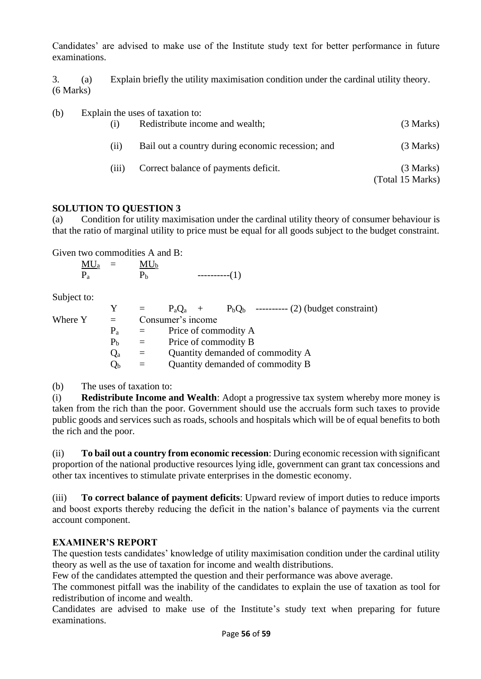Candidates' are advised to make use of the Institute study text for better performance in future examinations.

3. (a) Explain briefly the utility maximisation condition under the cardinal utility theory. (6 Marks)

(b) Explain the uses of taxation to:

| (i)   | Redistribute income and wealth;                   | (3 Marks)                     |
|-------|---------------------------------------------------|-------------------------------|
| (i)   | Bail out a country during economic recession; and | (3 Marks)                     |
| (iii) | Correct balance of payments deficit.              | (3 Marks)<br>(Total 15 Marks) |

### **SOLUTION TO QUESTION 3**

(a) Condition for utility maximisation under the cardinal utility theory of consumer behaviour is that the ratio of marginal utility to price must be equal for all goods subject to the budget constraint.

Given two commodities A and B:

 $MU_a$  =  $MU_b$  $P_a$   $P_b$  ---------(1)

Subject to:

|         |                |                   |                                  |  | $P_a Q_a$ + $P_b Q_b$ ---------- (2) (budget constraint) |
|---------|----------------|-------------------|----------------------------------|--|----------------------------------------------------------|
| Where Y | $\alpha = 1$   | Consumer's income |                                  |  |                                                          |
|         | $P_{a}$        |                   | Price of commodity A             |  |                                                          |
|         | P <sub>b</sub> | $\alpha = 1$      | Price of commodity B             |  |                                                          |
|         | $Q_{\rm a}$    | $=$               | Quantity demanded of commodity A |  |                                                          |
|         | $Q_{\rm b}$    | $=$               | Quantity demanded of commodity B |  |                                                          |
|         |                |                   |                                  |  |                                                          |

(b) The uses of taxation to:

(i) **Redistribute Income and Wealth**: Adopt a progressive tax system whereby more money is taken from the rich than the poor. Government should use the accruals form such taxes to provide public goods and services such as roads, schools and hospitals which will be of equal benefits to both the rich and the poor.

(ii) **To bail out a country from economic recession**: During economic recession with significant proportion of the national productive resources lying idle, government can grant tax concessions and other tax incentives to stimulate private enterprises in the domestic economy.

(iii) **To correct balance of payment deficits**: Upward review of import duties to reduce imports and boost exports thereby reducing the deficit in the nation's balance of payments via the current account component.

# **EXAMINER'S REPORT**

The question tests candidates' knowledge of utility maximisation condition under the cardinal utility theory as well as the use of taxation for income and wealth distributions.

Few of the candidates attempted the question and their performance was above average.

The commonest pitfall was the inability of the candidates to explain the use of taxation as tool for redistribution of income and wealth.

Candidates are advised to make use of the Institute's study text when preparing for future examinations.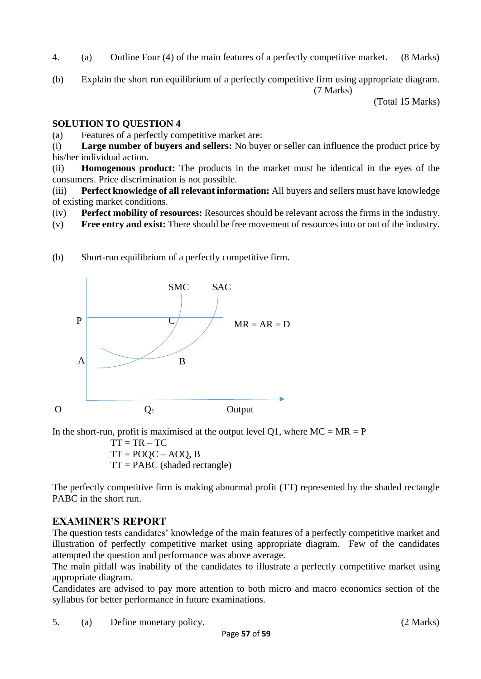- 4. (a) Outline Four (4) of the main features of a perfectly competitive market. (8 Marks)
- (b) Explain the short run equilibrium of a perfectly competitive firm using appropriate diagram. (7 Marks)

(Total 15 Marks)

### **SOLUTION TO QUESTION 4**

(a) Features of a perfectly competitive market are:

(i) **Large number of buyers and sellers:** No buyer or seller can influence the product price by his/her individual action.

(ii) **Homogenous product:** The products in the market must be identical in the eyes of the consumers. Price discrimination is not possible.

(iii) **Perfect knowledge of all relevant information:** All buyers and sellers must have knowledge of existing market conditions.

(iv) **Perfect mobility of resources:** Resources should be relevant across the firms in the industry.

(v) **Free entry and exist:** There should be free movement of resources into or out of the industry.



(b) Short-run equilibrium of a perfectly competitive firm.

In the short-run, profit is maximised at the output level Q1, where  $MC = MR = P$ 

 $TT = TR - TC$  $TT = POQC - AOO, B$  $TT = PABC$  (shaded rectangle)

The perfectly competitive firm is making abnormal profit (TT) represented by the shaded rectangle PABC in the short run.

# **EXAMINER'S REPORT**

The question tests candidates' knowledge of the main features of a perfectly competitive market and illustration of perfectly competitive market using appropriate diagram. Few of the candidates attempted the question and performance was above average.

The main pitfall was inability of the candidates to illustrate a perfectly competitive market using appropriate diagram.

Candidates are advised to pay more attention to both micro and macro economics section of the syllabus for better performance in future examinations.

5. (a) Define monetary policy. (2 Marks)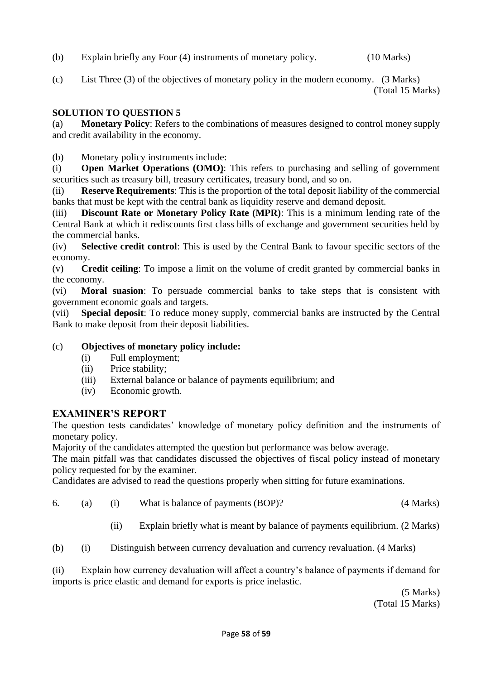- (b) Explain briefly any Four (4) instruments of monetary policy. (10 Marks)
- (c) List Three (3) of the objectives of monetary policy in the modern economy. (3 Marks)

(Total 15 Marks)

# **SOLUTION TO QUESTION 5**

(a) **Monetary Policy**: Refers to the combinations of measures designed to control money supply and credit availability in the economy.

(b) Monetary policy instruments include:

(i) **Open Market Operations (OMO)**: This refers to purchasing and selling of government securities such as treasury bill, treasury certificates, treasury bond, and so on.

(ii) **Reserve Requirements**: This is the proportion of the total deposit liability of the commercial banks that must be kept with the central bank as liquidity reserve and demand deposit.

(iii) **Discount Rate or Monetary Policy Rate (MPR)**: This is a minimum lending rate of the Central Bank at which it rediscounts first class bills of exchange and government securities held by the commercial banks.

(iv) **Selective credit control**: This is used by the Central Bank to favour specific sectors of the economy.

(v) **Credit ceiling**: To impose a limit on the volume of credit granted by commercial banks in the economy.

(vi) **Moral suasion**: To persuade commercial banks to take steps that is consistent with government economic goals and targets.

(vii) **Special deposit**: To reduce money supply, commercial banks are instructed by the Central Bank to make deposit from their deposit liabilities.

# (c) **Objectives of monetary policy include:**

- (i) Full employment;
- (ii) Price stability;
- (iii) External balance or balance of payments equilibrium; and
- (iv) Economic growth.

# **EXAMINER'S REPORT**

The question tests candidates' knowledge of monetary policy definition and the instruments of monetary policy.

Majority of the candidates attempted the question but performance was below average.

The main pitfall was that candidates discussed the objectives of fiscal policy instead of monetary policy requested for by the examiner.

Candidates are advised to read the questions properly when sitting for future examinations.

- 6. (a) (i) What is balance of payments (BOP)? (4 Marks)
	- (ii) Explain briefly what is meant by balance of payments equilibrium. (2 Marks)
- (b) (i) Distinguish between currency devaluation and currency revaluation. (4 Marks)

(ii) Explain how currency devaluation will affect a country's balance of payments if demand for imports is price elastic and demand for exports is price inelastic.

(5 Marks) (Total 15 Marks)